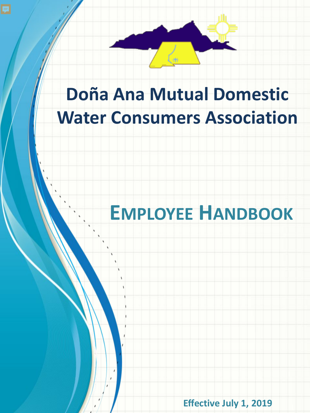

# **Doña Ana Mutual Domestic Water Consumers Association**

# **EMPLOYEE HANDBOOK**

**Effective July 1, 2019**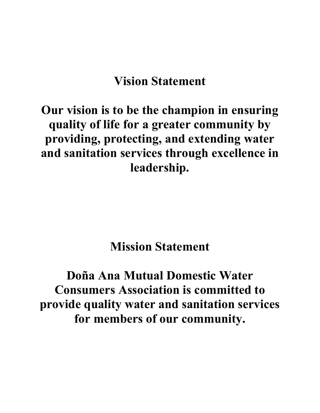# **Vision Statement**

# **Our vision is to be the champion in ensuring quality of life for a greater community by providing, protecting, and extending water and sanitation services through excellence in leadership.**

# **Mission Statement**

# **Doña Ana Mutual Domestic Water Consumers Association is committed to provide quality water and sanitation services for members of our community.**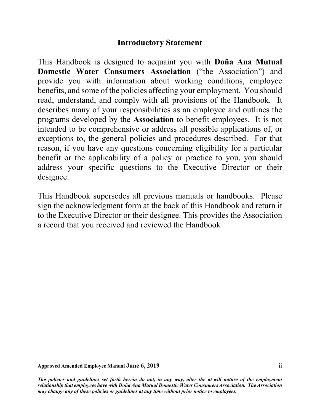# **Introductory Statement**

This Handbook is designed to acquaint you with **Doña Ana Mutual Domestic Water Consumers Association** ("the Association") and provide you with information about working conditions, employee benefits, and some of the policies affecting your employment. You should read, understand, and comply with all provisions of the Handbook. It describes many of your responsibilities as an employee and outlines the programs developed by the **Association** to benefit employees. It is not intended to be comprehensive or address all possible applications of, or exceptions to, the general policies and procedures described. For that reason, if you have any questions concerning eligibility for a particular benefit or the applicability of a policy or practice to you, you should address your specific questions to the Executive Director or their designee.

This Handbook supersedes all previous manuals or handbooks. Please sign the acknowledgment form at the back of this Handbook and return it to the Executive Director or their designee. This provides the Association a record that you received and reviewed the Handbook

#### **Approved Amended Employee Manual June 6, 2019** ii

*The policies and guidelines set forth herein do not, in any way, alter the at-will nature of the employment relationship that employees have with Doña Ana Mutual Domestic Water Consumers Association. The Association may change any of these policies or guidelines at any time without prior notice to employees.*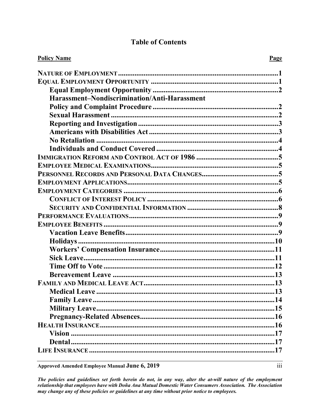| <b>Policy Name</b>                           | Page |
|----------------------------------------------|------|
|                                              |      |
|                                              |      |
|                                              |      |
| Harassment-Nondiscrimination/Anti-Harassment |      |
|                                              |      |
|                                              |      |
|                                              |      |
|                                              |      |
|                                              |      |
|                                              |      |
|                                              |      |
|                                              |      |
|                                              |      |
|                                              |      |
|                                              |      |
|                                              |      |
|                                              |      |
|                                              |      |
|                                              |      |
|                                              |      |
|                                              |      |
|                                              |      |
|                                              |      |
|                                              |      |
|                                              |      |
|                                              |      |
|                                              |      |
|                                              |      |
|                                              |      |
|                                              |      |
|                                              |      |
|                                              |      |
|                                              |      |
|                                              |      |
|                                              |      |

### **Table of Contents**

Approved Amended Employee Manual June 6, 2019

The policies and guidelines set forth herein do not, in any way, alter the at-will nature of the employment relationship that employees have with Doña Ana Mutual Domestic Water Consumers Association. The Association may change any of these policies or guidelines at any time without prior notice to employees.

 $\overline{\text{iii}}$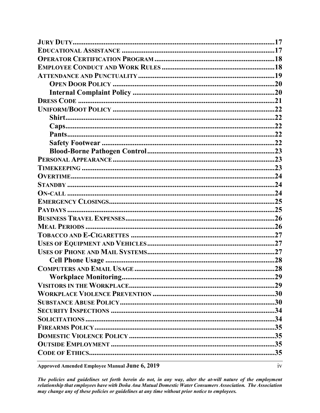| Approved Amended Employee Manual June 6, 2019 | iv |
|-----------------------------------------------|----|

Approved Amended Employee Manual June 6, 2019

The policies and guidelines set forth herein do not, in any way, alter the at-will nature of the employment relationship that employees have with Doña Ana Mutual Domestic Water Consumers Association. The Association may change any of these policies or guidelines at any time without prior notice to employees.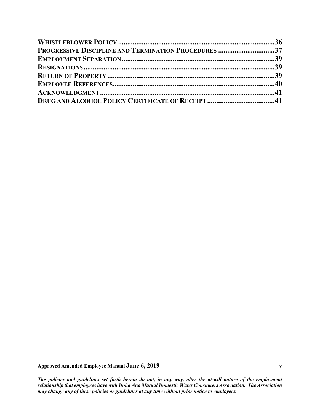| PROGRESSIVE DISCIPLINE AND TERMINATION PROCEDURES 37 |  |
|------------------------------------------------------|--|
|                                                      |  |
|                                                      |  |
|                                                      |  |
|                                                      |  |
|                                                      |  |
|                                                      |  |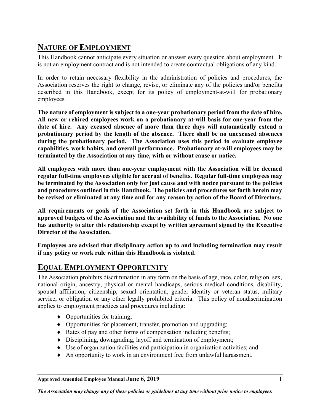# <span id="page-6-0"></span>**NATURE OF EMPLOYMENT**

This Handbook cannot anticipate every situation or answer every question about employment. It is not an employment contract and is not intended to create contractual obligations of any kind.

In order to retain necessary flexibility in the administration of policies and procedures, the Association reserves the right to change, revise, or eliminate any of the policies and/or benefits described in this Handbook, except for its policy of employment-at-will for probationary employees.

**The nature of employment is subject to a one-year probationary period from the date of hire. All new or rehired employees work on a probationary at-will basis for one-year from the date of hire. Any excused absence of more than three days will automatically extend a probationary period by the length of the absence. There shall be no unexcused absences during the probationary period. The Association uses this period to evaluate employee capabilities, work habits, and overall performance. Probationary at-will employees may be terminated by the Association at any time, with or without cause or notice.**

**All employees with more than one-year employment with the Association will be deemed regular full-time employees eligible for accrual of benefits. Regular full-time employees may be terminated by the Association only for just cause and with notice pursuant to the policies and procedures outlined in this Handbook. The policies and procedures set forth herein may be revised or eliminated at any time and for any reason by action of the Board of Directors.**

**All requirements or goals of the Association set forth in this Handbook are subject to approved budgets of the Association and the availability of funds to the Association. No one has authority to alter this relationship except by written agreement signed by the Executive Director of the Association.**

**Employees are advised that disciplinary action up to and including termination may result if any policy or work rule within this Handbook is violated.**

# <span id="page-6-1"></span>**EQUAL EMPLOYMENT OPPORTUNITY**

The Association prohibits discrimination in any form on the basis of age, race, color, religion, sex, national origin, ancestry, physical or mental handicaps, serious medical conditions, disability, spousal affiliation, citizenship, sexual orientation, gender identity or veteran status, military service, or obligation or any other legally prohibited criteria. This policy of nondiscrimination applies to employment practices and procedures including:

- ♦ Opportunities for training;
- ♦ Opportunities for placement, transfer, promotion and upgrading;
- ♦ Rates of pay and other forms of compensation including benefits;
- ♦ Disciplining, downgrading, layoff and termination of employment;
- ♦ Use of organization facilities and participation in organization activities; and
- ♦ An opportunity to work in an environment free from unlawful harassment.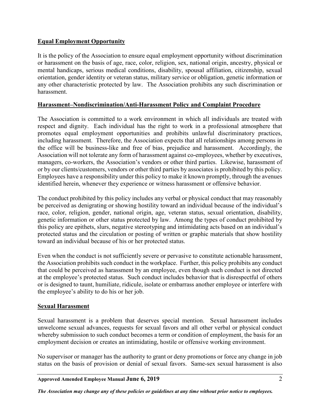#### <span id="page-7-0"></span>**Equal Employment Opportunity**

It is the policy of the Association to ensure equal employment opportunity without discrimination or harassment on the basis of age, race, color, religion, sex, national origin, ancestry, physical or mental handicaps, serious medical conditions, disability, spousal affiliation, citizenship, sexual orientation, gender identity or veteran status, military service or obligation, genetic information or any other characteristic protected by law. The Association prohibits any such discrimination or harassment.

#### <span id="page-7-1"></span>**Harassment–Nondiscrimination/Anti-Harassment Policy and Complaint Procedure**

The Association is committed to a work environment in which all individuals are treated with respect and dignity. Each individual has the right to work in a professional atmosphere that promotes equal employment opportunities and prohibits unlawful discriminatory practices, including harassment. Therefore, the Association expects that all relationships among persons in the office will be business-like and free of bias, prejudice and harassment. Accordingly, the Association will not tolerate any form of harassment against co-employees, whether by executives, managers, co-workers, the Association's vendors or other third parties. Likewise, harassment of or by our clients/customers, vendors or other third parties by associates is prohibited by this policy. Employees have a responsibility under this policy to make it known promptly, through the avenues identified herein, whenever they experience or witness harassment or offensive behavior.

The conduct prohibited by this policy includes any verbal or physical conduct that may reasonably be perceived as denigrating or showing hostility toward an individual because of the individual's race, color, religion, gender, national origin, age, veteran status, sexual orientation, disability, genetic information or other status protected by law. Among the types of conduct prohibited by this policy are epithets, slurs, negative stereotyping and intimidating acts based on an individual's protected status and the circulation or posting of written or graphic materials that show hostility toward an individual because of his or her protected status.

Even when the conduct is not sufficiently severe or pervasive to constitute actionable harassment, the Association prohibits such conduct in the workplace. Further, this policy prohibits any conduct that could be perceived as harassment by an employee, even though such conduct is not directed at the employee's protected status. Such conduct includes behavior that is disrespectful of others or is designed to taunt, humiliate, ridicule, isolate or embarrass another employee or interfere with the employee's ability to do his or her job.

#### <span id="page-7-2"></span>**Sexual Harassment**

Sexual harassment is a problem that deserves special mention. Sexual harassment includes unwelcome sexual advances, requests for sexual favors and all other verbal or physical conduct whereby submission to such conduct becomes a term or condition of employment, the basis for an employment decision or creates an intimidating, hostile or offensive working environment.

No supervisor or manager has the authority to grant or deny promotions or force any change in job status on the basis of provision or denial of sexual favors. Same-sex sexual harassment is also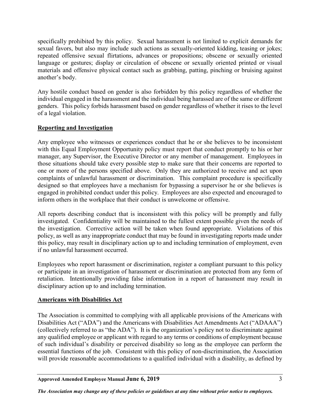specifically prohibited by this policy. Sexual harassment is not limited to explicit demands for sexual favors, but also may include such actions as sexually-oriented kidding, teasing or jokes; repeated offensive sexual flirtations, advances or propositions; obscene or sexually oriented language or gestures; display or circulation of obscene or sexually oriented printed or visual materials and offensive physical contact such as grabbing, patting, pinching or bruising against another's body.

Any hostile conduct based on gender is also forbidden by this policy regardless of whether the individual engaged in the harassment and the individual being harassed are of the same or different genders. This policy forbids harassment based on gender regardless of whether it rises to the level of a legal violation.

#### <span id="page-8-0"></span>**Reporting and Investigation**

Any employee who witnesses or experiences conduct that he or she believes to be inconsistent with this Equal Employment Opportunity policy must report that conduct promptly to his or her manager, any Supervisor, the Executive Director or any member of management. Employees in those situations should take every possible step to make sure that their concerns are reported to one or more of the persons specified above. Only they are authorized to receive and act upon complaints of unlawful harassment or discrimination. This complaint procedure is specifically designed so that employees have a mechanism for bypassing a supervisor he or she believes is engaged in prohibited conduct under this policy. Employees are also expected and encouraged to inform others in the workplace that their conduct is unwelcome or offensive.

All reports describing conduct that is inconsistent with this policy will be promptly and fully investigated. Confidentiality will be maintained to the fullest extent possible given the needs of the investigation. Corrective action will be taken when found appropriate. Violations of this policy, as well as any inappropriate conduct that may be found in investigating reports made under this policy, may result in disciplinary action up to and including termination of employment, even if no unlawful harassment occurred.

Employees who report harassment or discrimination, register a compliant pursuant to this policy or participate in an investigation of harassment or discrimination are protected from any form of retaliation. Intentionally providing false information in a report of harassment may result in disciplinary action up to and including termination.

#### <span id="page-8-1"></span>**Americans with Disabilities Act**

The Association is committed to complying with all applicable provisions of the Americans with Disabilities Act ("ADA") and the Americans with Disabilities Act Amendments Act ("ADAAA") (collectively referred to as "the ADA"). It is the organization's policy not to discriminate against any qualified employee or applicant with regard to any terms or conditions of employment because of such individual's disability or perceived disability so long as the employee can perform the essential functions of the job. Consistent with this policy of non-discrimination, the Association will provide reasonable accommodations to a qualified individual with a disability, as defined by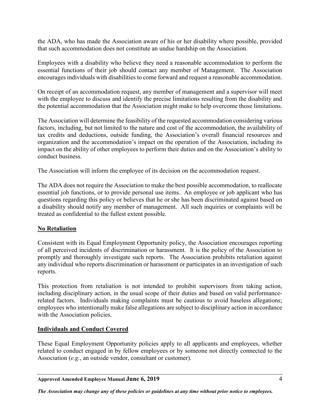the ADA, who has made the Association aware of his or her disability where possible, provided that such accommodation does not constitute an undue hardship on the Association.

Employees with a disability who believe they need a reasonable accommodation to perform the essential functions of their job should contact any member of Management. The Association encourages individuals with disabilities to come forward and request a reasonable accommodation.

On receipt of an accommodation request, any member of management and a supervisor will meet with the employee to discuss and identify the precise limitations resulting from the disability and the potential accommodation that the Association might make to help overcome those limitations.

The Association will determine the feasibility of the requested accommodation considering various factors, including, but not limited to the nature and cost of the accommodation, the availability of tax credits and deductions, outside funding, the Association's overall financial resources and organization and the accommodation's impact on the operation of the Association, including its impact on the ability of other employees to perform their duties and on the Association's ability to conduct business.

The Association will inform the employee of its decision on the accommodation request.

The ADA does not require the Association to make the best possible accommodation, to reallocate essential job functions, or to provide personal use items. An employee or job applicant who has questions regarding this policy or believes that he or she has been discriminated against based on a disability should notify any member of management. All such inquiries or complaints will be treated as confidential to the fullest extent possible.

#### <span id="page-9-0"></span>**No Retaliation**

Consistent with its Equal Employment Opportunity policy, the Association encourages reporting of all perceived incidents of discrimination or harassment. It is the policy of the Association to promptly and thoroughly investigate such reports. The Association prohibits retaliation against any individual who reports discrimination or harassment or participates in an investigation of such reports.

This protection from retaliation is not intended to prohibit supervisors from taking action, including disciplinary action, in the usual scope of their duties and based on valid performancerelated factors. Individuals making complaints must be cautious to avoid baseless allegations; employees who intentionally make false allegations are subject to disciplinary action in accordance with the Association policies.

#### <span id="page-9-1"></span>**Individuals and Conduct Covered**

These Equal Employment Opportunity policies apply to all applicants and employees, whether related to conduct engaged in by fellow employees or by someone not directly connected to the Association (*e.g.*, an outside vendor, consultant or customer).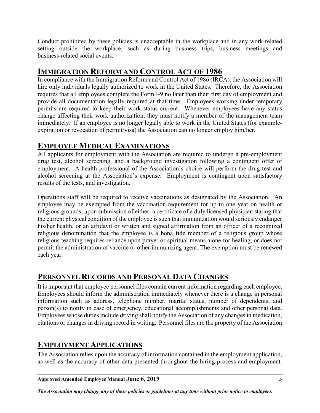Conduct prohibited by these policies is unacceptable in the workplace and in any work-related setting outside the workplace, such as during business trips, business meetings and business-related social events.

# <span id="page-10-0"></span>**IMMIGRATION REFORM AND CONTROL ACT OF 1986**

In compliance with the Immigration Reform and Control Act of 1986 (IRCA), the Association will hire only individuals legally authorized to work in the United States. Therefore, the Association requires that all employees complete the Form I-9 no later than their first day of employment and provide all documentation legally required at that time. Employees working under temporary permits are required to keep their work status current. Whenever employees have any status change affecting their work authorization, they must notify a member of the management team immediately. If an employee is no longer legally able to work in the United States (for exampleexpiration or revocation of permit/visa) the Association can no longer employ him/her.

# <span id="page-10-1"></span>**EMPLOYEE MEDICAL EXAMINATIONS**

All applicants for employment with the Association are required to undergo a pre-employment drug test, alcohol screening, and a background investigation following a contingent offer of employment. A health professional of the Association's choice will perform the drug test and alcohol screening at the Association's expense. Employment is contingent upon satisfactory results of the tests, and investigation.

Operations staff will be required to receive vaccinations as designated by the Association. An employee may be exempted from the vaccination requirement for up to one year on health or religious grounds, upon submission of either: a certificate of a duly licensed physician stating that the current physical condition of the employee is such that immunization would seriously endanger his/her health, or an affidavit or written and signed affirmation from an officer of a recognized religious denomination that the employee is a bona fide member of a religious group whose religious teaching requires reliance upon prayer or spiritual means alone for healing, or does not permit the administration of vaccine or other immunizing agent. The exemption must be renewed each year.

# <span id="page-10-2"></span>**PERSONNEL RECORDS AND PERSONAL DATA CHANGES**

It is important that employee personnel files contain current information regarding each employee. Employees should inform the administration immediately whenever there is a change in personal information such as address, telephone number, marital status, number of dependents, and person(s) to notify in case of emergency, educational accomplishments and other personal data. Employees whose duties include driving shall notify the Association of any changes in medication, citations or changes in driving record in writing. Personnel files are the property of the Association

# <span id="page-10-3"></span>**EMPLOYMENT APPLICATIONS**

The Association relies upon the accuracy of information contained in the employment application, as well as the accuracy of other data presented throughout the hiring process and employment.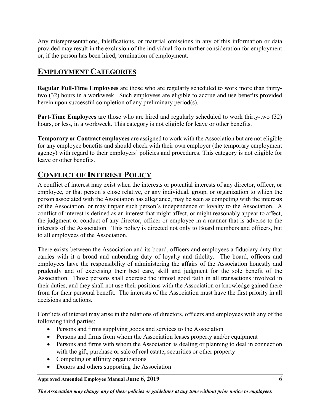Any misrepresentations, falsifications, or material omissions in any of this information or data provided may result in the exclusion of the individual from further consideration for employment or, if the person has been hired, termination of employment.

# <span id="page-11-0"></span>**EMPLOYMENT CATEGORIES**

**Regular Full-Time Employees** are those who are regularly scheduled to work more than thirtytwo (32) hours in a workweek. Such employees are eligible to accrue and use benefits provided herein upon successful completion of any preliminary period(s).

**Part-Time Employees** are those who are hired and regularly scheduled to work thirty-two (32) hours, or less, in a workweek. This category is not eligible for leave or other benefits.

**Temporary or Contract employees** are assigned to work with the Association but are not eligible for any employee benefits and should check with their own employer (the temporary employment agency) with regard to their employers' policies and procedures. This category is not eligible for leave or other benefits.

# <span id="page-11-1"></span>**CONFLICT OF INTEREST POLICY**

A conflict of interest may exist when the interests or potential interests of any director, officer, or employee, or that person's close relative, or any individual, group, or organization to which the person associated with the Association has allegiance, may be seen as competing with the interests of the Association, or may impair such person's independence or loyalty to the Association. A conflict of interest is defined as an interest that might affect, or might reasonably appear to affect, the judgment or conduct of any director, officer or employee in a manner that is adverse to the interests of the Association. This policy is directed not only to Board members and officers, but to all employees of the Association.

There exists between the Association and its board, officers and employees a fiduciary duty that carries with it a broad and unbending duty of loyalty and fidelity. The board, officers and employees have the responsibility of administering the affairs of the Association honestly and prudently and of exercising their best care, skill and judgment for the sole benefit of the Association. Those persons shall exercise the utmost good faith in all transactions involved in their duties, and they shall not use their positions with the Association or knowledge gained there from for their personal benefit. The interests of the Association must have the first priority in all decisions and actions.

Conflicts of interest may arise in the relations of directors, officers and employees with any of the following third parties:

- Persons and firms supplying goods and services to the Association
- Persons and firms from whom the Association leases property and/or equipment
- Persons and firms with whom the Association is dealing or planning to deal in connection with the gift, purchase or sale of real estate, securities or other property
- Competing or affinity organizations
- Donors and others supporting the Association

**Approved Amended Employee Manual June 6, 2019** 6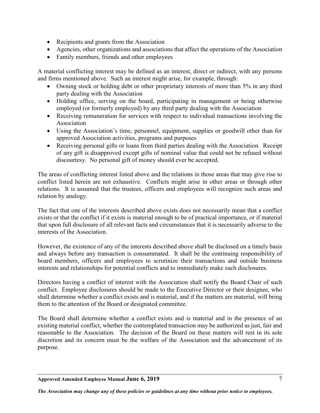- Recipients and grants from the Association
- Agencies, other organizations and associations that affect the operations of the Association
- Family members, friends and other employees

A material conflicting interest may be defined as an interest, direct or indirect, with any persons and firms mentioned above. Such an interest might arise, for example, through:

- Owning stock or holding debt or other proprietary interests of more than 5% in any third party dealing with the Association
- Holding office, serving on the board, participating in management or being otherwise employed (or formerly employed) by any third party dealing with the Association
- Receiving remuneration for services with respect to individual transactions involving the Association
- Using the Association's time, personnel, equipment, supplies or goodwill other than for approved Association activities, programs and purposes
- Receiving personal gifts or loans from third parties dealing with the Association. Receipt of any gift is disapproved except gifts of nominal value that could not be refused without discourtesy. No personal gift of money should ever be accepted.

The areas of conflicting interest listed above and the relations in those areas that may give rise to conflict listed herein are not exhaustive. Conflicts might arise in other areas or through other relations. It is assumed that the trustees, officers and employees will recognize such areas and relation by analogy.

The fact that one of the interests described above exists does not necessarily mean that a conflict exists or that the conflict if it exists is material enough to be of practical importance, or if material that upon full disclosure of all relevant facts and circumstances that it is necessarily adverse to the interests of the Association.

However, the existence of any of the interests described above shall be disclosed on a timely basis and always before any transaction is consummated. It shall be the continuing responsibility of board members, officers and employees to scrutinize their transactions and outside business interests and relationships for potential conflicts and to immediately make such disclosures.

Directors having a conflict of interest with the Association shall notify the Board Chair of such conflict. Employee disclosures should be made to the Executive Director or their designee, who shall determine whether a conflict exists and is material, and if the matters are material, will bring them to the attention of the Board or designated committee.

The Board shall determine whether a conflict exists and is material and in the presence of an existing material conflict, whether the contemplated transaction may be authorized as just, fair and reasonable to the Association. The decision of the Board on these matters will rest in its sole discretion and its concern must be the welfare of the Association and the advancement of its purpose.

**Approved Amended Employee Manual June 6, 2019** 7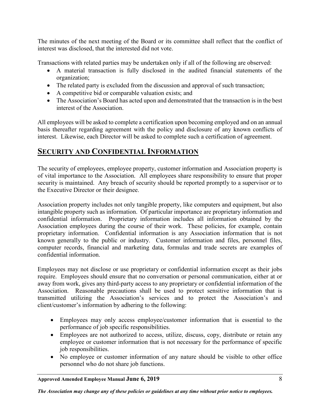The minutes of the next meeting of the Board or its committee shall reflect that the conflict of interest was disclosed, that the interested did not vote.

Transactions with related parties may be undertaken only if all of the following are observed:

- A material transaction is fully disclosed in the audited financial statements of the organization;
- The related party is excluded from the discussion and approval of such transaction;
- A competitive bid or comparable valuation exists; and
- The Association's Board has acted upon and demonstrated that the transaction is in the best interest of the Association.

All employees will be asked to complete a certification upon becoming employed and on an annual basis thereafter regarding agreement with the policy and disclosure of any known conflicts of interest. Likewise, each Director will be asked to complete such a certification of agreement.

# <span id="page-13-0"></span>**SECURITY AND CONFIDENTIAL INFORMATION**

The security of employees, employee property, customer information and Association property is of vital importance to the Association. All employees share responsibility to ensure that proper security is maintained. Any breach of security should be reported promptly to a supervisor or to the Executive Director or their designee.

Association property includes not only tangible property, like computers and equipment, but also intangible property such as information. Of particular importance are proprietary information and confidential information. Proprietary information includes all information obtained by the Association employees during the course of their work. These policies, for example, contain proprietary information. Confidential information is any Association information that is not known generally to the public or industry. Customer information and files, personnel files, computer records, financial and marketing data, formulas and trade secrets are examples of confidential information.

Employees may not disclose or use proprietary or confidential information except as their jobs require. Employees should ensure that no conversation or personal communication, either at or away from work, gives any third-party access to any proprietary or confidential information of the Association. Reasonable precautions shall be used to protect sensitive information that is transmitted utilizing the Association's services and to protect the Association's and client/customer's information by adhering to the following:

- Employees may only access employee/customer information that is essential to the performance of job specific responsibilities.
- Employees are not authorized to access, utilize, discuss, copy, distribute or retain any employee or customer information that is not necessary for the performance of specific job responsibilities.
- No employee or customer information of any nature should be visible to other office personnel who do not share job functions.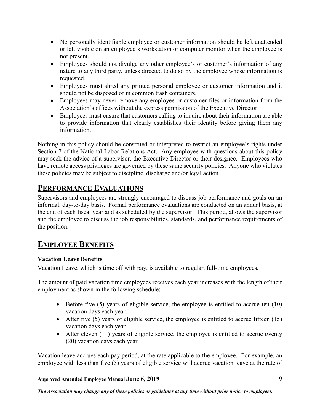- No personally identifiable employee or customer information should be left unattended or left visible on an employee's workstation or computer monitor when the employee is not present.
- Employees should not divulge any other employee's or customer's information of any nature to any third party, unless directed to do so by the employee whose information is requested.
- Employees must shred any printed personal employee or customer information and it should not be disposed of in common trash containers.
- Employees may never remove any employee or customer files or information from the Association's offices without the express permission of the Executive Director.
- Employees must ensure that customers calling to inquire about their information are able to provide information that clearly establishes their identity before giving them any information.

Nothing in this policy should be construed or interpreted to restrict an employee's rights under Section 7 of the National Labor Relations Act. Any employee with questions about this policy may seek the advice of a supervisor, the Executive Director or their designee. Employees who have remote access privileges are governed by these same security policies. Anyone who violates these policies may be subject to discipline, discharge and/or legal action.

# <span id="page-14-0"></span>**PERFORMANCE EVALUATIONS**

Supervisors and employees are strongly encouraged to discuss job performance and goals on an informal, day-to-day basis. Formal performance evaluations are conducted on an annual basis, at the end of each fiscal year and as scheduled by the supervisor. This period, allows the supervisor and the employee to discuss the job responsibilities, standards, and performance requirements of the position.

# <span id="page-14-1"></span>**EMPLOYEE BENEFITS**

#### <span id="page-14-2"></span>**Vacation Leave Benefits**

Vacation Leave, which is time off with pay, is available to regular, full-time employees.

The amount of paid vacation time employees receives each year increases with the length of their employment as shown in the following schedule:

- Before five (5) years of eligible service, the employee is entitled to accrue ten (10) vacation days each year.
- After five  $(5)$  years of eligible service, the employee is entitled to accrue fifteen  $(15)$ vacation days each year.
- After eleven (11) years of eligible service, the employee is entitled to accrue twenty (20) vacation days each year.

Vacation leave accrues each pay period, at the rate applicable to the employee. For example, an employee with less than five (5) years of eligible service will accrue vacation leave at the rate of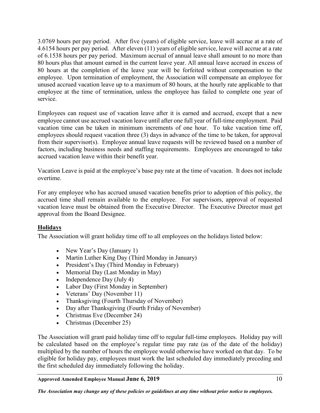3.0769 hours per pay period. After five (years) of eligible service, leave will accrue at a rate of 4.6154 hours per pay period. After eleven (11) years of eligible service, leave will accrue at a rate of 6.1538 hours per pay period. Maximum accrual of annual leave shall amount to no more than 80 hours plus that amount earned in the current leave year. All annual leave accrued in excess of 80 hours at the completion of the leave year will be forfeited without compensation to the employee. Upon termination of employment, the Association will compensate an employee for unused accrued vacation leave up to a maximum of 80 hours, at the hourly rate applicable to that employee at the time of termination, unless the employee has failed to complete one year of service.

Employees can request use of vacation leave after it is earned and accrued, except that a new employee cannot use accrued vacation leave until after one full year of full-time employment. Paid vacation time can be taken in minimum increments of one hour. To take vacation time off, employees should request vacation three (3) days in advance of the time to be taken, for approval from their supervisor(s). Employee annual leave requests will be reviewed based on a number of factors, including business needs and staffing requirements. Employees are encouraged to take accrued vacation leave within their benefit year.

Vacation Leave is paid at the employee's base pay rate at the time of vacation. It does not include overtime.

For any employee who has accrued unused vacation benefits prior to adoption of this policy, the accrued time shall remain available to the employee. For supervisors, approval of requested vacation leave must be obtained from the Executive Director. The Executive Director must get approval from the Board Designee.

#### <span id="page-15-0"></span>**Holidays**

The Association will grant holiday time off to all employees on the holidays listed below:

- New Year's Day (January 1)
- Martin Luther King Day (Third Monday in January)
- President's Day (Third Monday in February)
- Memorial Day (Last Monday in May)
- Independence Day (July 4)
- Labor Day (First Monday in September)
- Veterans' Day (November 11)
- Thanksgiving (Fourth Thursday of November)
- Day after Thanksgiving (Fourth Friday of November)
- Christmas Eve (December 24)
- Christmas (December 25)

The Association will grant paid holiday time off to regular full-time employees. Holiday pay will be calculated based on the employee's regular time pay rate (as of the date of the holiday) multiplied by the number of hours the employee would otherwise have worked on that day. To be eligible for holiday pay, employees must work the last scheduled day immediately preceding and the first scheduled day immediately following the holiday.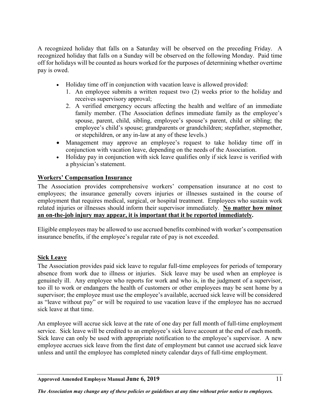A recognized holiday that falls on a Saturday will be observed on the preceding Friday. A recognized holiday that falls on a Sunday will be observed on the following Monday. Paid time off for holidays will be counted as hours worked for the purposes of determining whether overtime pay is owed.

- Holiday time off in conjunction with vacation leave is allowed provided:
	- 1. An employee submits a written request two (2) weeks prior to the holiday and receives supervisory approval;
	- 2. A verified emergency occurs affecting the health and welfare of an immediate family member. (The Association defines immediate family as the employee's spouse, parent, child, sibling, employee's spouse's parent, child or sibling; the employee's child's spouse; grandparents or grandchildren; stepfather, stepmother, or stepchildren, or any in-law at any of these levels.)
- Management may approve an employee's request to take holiday time off in conjunction with vacation leave, depending on the needs of the Association.
- Holiday pay in conjunction with sick leave qualifies only if sick leave is verified with a physician's statement.

#### <span id="page-16-0"></span>**Workers' Compensation Insurance**

The Association provides comprehensive workers' compensation insurance at no cost to employees; the insurance generally covers injuries or illnesses sustained in the course of employment that requires medical, surgical, or hospital treatment. Employees who sustain work related injuries or illnesses should inform their supervisor immediately. **No matter how minor an on-the-job injury may appear, it is important that it be reported immediately.**

Eligible employees may be allowed to use accrued benefits combined with worker's compensation insurance benefits, if the employee's regular rate of pay is not exceeded.

#### <span id="page-16-1"></span>**Sick Leave**

The Association provides paid sick leave to regular full-time employees for periods of temporary absence from work due to illness or injuries. Sick leave may be used when an employee is genuinely ill. Any employee who reports for work and who is, in the judgment of a supervisor, too ill to work or endangers the health of customers or other employees may be sent home by a supervisor; the employee must use the employee's available, accrued sick leave will be considered as "leave without pay" or will be required to use vacation leave if the employee has no accrued sick leave at that time.

An employee will accrue sick leave at the rate of one day per full month of full-time employment service. Sick leave will be credited to an employee's sick leave account at the end of each month. Sick leave can only be used with appropriate notification to the employee's supervisor. A new employee accrues sick leave from the first date of employment but cannot use accrued sick leave unless and until the employee has completed ninety calendar days of full-time employment.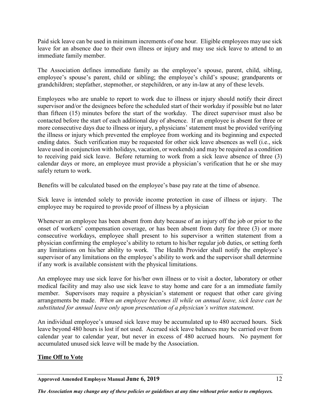Paid sick leave can be used in minimum increments of one hour. Eligible employees may use sick leave for an absence due to their own illness or injury and may use sick leave to attend to an immediate family member.

The Association defines immediate family as the employee's spouse, parent, child, sibling, employee's spouse's parent, child or sibling; the employee's child's spouse; grandparents or grandchildren; stepfather, stepmother, or stepchildren, or any in-law at any of these levels.

Employees who are unable to report to work due to illness or injury should notify their direct supervisor and/or the designees before the scheduled start of their workday if possible but no later than fifteen (15) minutes before the start of the workday. The direct supervisor must also be contacted before the start of each additional day of absence. If an employee is absent for three or more consecutive days due to illness or injury, a physicians' statement must be provided verifying the illness or injury which prevented the employee from working and its beginning and expected ending dates. Such verification may be requested for other sick leave absences as well (i.e., sick leave used in conjunction with holidays, vacation, or weekends) and may be required as a condition to receiving paid sick leave. Before returning to work from a sick leave absence of three (3) calendar days or more, an employee must provide a physician's verification that he or she may safely return to work.

Benefits will be calculated based on the employee's base pay rate at the time of absence.

Sick leave is intended solely to provide income protection in case of illness or injury. The employee may be required to provide proof of illness by a physician

Whenever an employee has been absent from duty because of an injury off the job or prior to the onset of workers' compensation coverage, or has been absent from duty for three (3) or more consecutive workdays, employee shall present to his supervisor a written statement from a physician confirming the employee's ability to return to his/her regular job duties, or setting forth any limitations on his/her ability to work. The Health Provider shall notify the employee's supervisor of any limitations on the employee's ability to work and the supervisor shall determine if any work is available consistent with the physical limitations.

An employee may use sick leave for his/her own illness or to visit a doctor, laboratory or other medical facility and may also use sick leave to stay home and care for a an immediate family member. Supervisors may require a physician's statement or request that other care giving arrangements be made. *When an employee becomes ill while on annual leave, sick leave can be substituted for annual leave only upon presentation of a physician's written statement.*

An individual employee's unused sick leave may be accumulated up to 480 accrued hours. Sick leave beyond 480 hours is lost if not used. Accrued sick leave balances may be carried over from calendar year to calendar year, but never in excess of 480 accrued hours. No payment for accumulated unused sick leave will be made by the Association.

#### <span id="page-17-0"></span>**Time Off to Vote**

**Approved Amended Employee Manual June 6, 2019** 12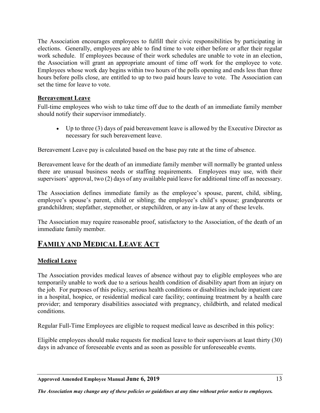The Association encourages employees to fulfill their civic responsibilities by participating in elections. Generally, employees are able to find time to vote either before or after their regular work schedule. If employees because of their work schedules are unable to vote in an election, the Association will grant an appropriate amount of time off work for the employee to vote. Employees whose work day begins within two hours of the polls opening and ends less than three hours before polls close, are entitled to up to two paid hours leave to vote. The Association can set the time for leave to vote.

#### <span id="page-18-0"></span>**Bereavement Leave**

Full-time employees who wish to take time off due to the death of an immediate family member should notify their supervisor immediately.

• Up to three (3) days of paid bereavement leave is allowed by the Executive Director as necessary for such bereavement leave.

Bereavement Leave pay is calculated based on the base pay rate at the time of absence.

Bereavement leave for the death of an immediate family member will normally be granted unless there are unusual business needs or staffing requirements. Employees may use, with their supervisors' approval, two (2) days of any available paid leave for additional time off as necessary.

The Association defines immediate family as the employee's spouse, parent, child, sibling, employee's spouse's parent, child or sibling; the employee's child's spouse; grandparents or grandchildren; stepfather, stepmother, or stepchildren, or any in-law at any of these levels.

The Association may require reasonable proof, satisfactory to the Association, of the death of an immediate family member.

# <span id="page-18-1"></span>**FAMILY AND MEDICAL LEAVE ACT**

#### <span id="page-18-2"></span>**Medical Leave**

The Association provides medical leaves of absence without pay to eligible employees who are temporarily unable to work due to a serious health condition of disability apart from an injury on the job. For purposes of this policy, serious health conditions or disabilities include inpatient care in a hospital, hospice, or residential medical care facility; continuing treatment by a health care provider; and temporary disabilities associated with pregnancy, childbirth, and related medical conditions.

Regular Full-Time Employees are eligible to request medical leave as described in this policy:

Eligible employees should make requests for medical leave to their supervisors at least thirty (30) days in advance of foreseeable events and as soon as possible for unforeseeable events.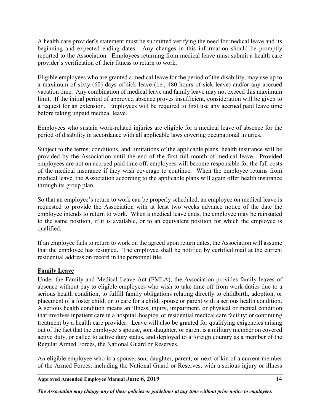A health care provider's statement must be submitted verifying the need for medical leave and its beginning and expected ending dates. Any changes in this information should be promptly reported to the Association. Employees returning from medical leave must submit a health care provider's verification of their fitness to return to work.

Eligible employees who are granted a medical leave for the period of the disability, may use up to a maximum of sixty (60) days of sick leave (i.e., 480 hours of sick leave) and/or any accrued vacation time. Any combination of medical leave and family leave may not exceed this maximum limit. If the initial period of approved absence proves insufficient, consideration will be given to a request for an extension. Employees will be required to first use any accrued paid leave time before taking unpaid medical leave.

Employees who sustain work-related injuries are eligible for a medical leave of absence for the period of disability in accordance with all applicable laws covering occupational injuries.

Subject to the terms, conditions, and limitations of the applicable plans, health insurance will be provided by the Association until the end of the first full month of medical leave. Provided employees are not on accrued paid time off, employees will become responsible for the full costs of the medical insurance if they wish coverage to continue. When the employee returns from medical leave, the Association according to the applicable plans will again offer health insurance through its group plan.

So that an employee's return to work can be properly scheduled, an employee on medical leave is requested to provide the Association with at least two weeks advance notice of the date the employee intends to return to work. When a medical leave ends, the employee may be reinstated to the same position, if it is available, or to an equivalent position for which the employee is qualified.

If an employee fails to return to work on the agreed upon return dates, the Association will assume that the employee has resigned. The employee shall be notified by certified mail at the current residential address on record in the personnel file.

#### <span id="page-19-0"></span>**Family Leave**

Under the Family and Medical Leave Act (FMLA), the Association provides family leaves of absence without pay to eligible employees who wish to take time off from work duties due to a serious health condition, to fulfill family obligations relating directly to childbirth, adoption, or placement of a foster child; or to care for a child, spouse or parent with a serious health condition. A serious health condition means an illness, injury, impairment, or physical or mental condition that involves inpatient care in a hospital, hospice, or residential medical care facility; or continuing treatment by a health care provider. Leave will also be granted for qualifying exigencies arising out of the fact that the employee's spouse, son, daughter, or parent is a military member on covered active duty, or called to active duty status, and deployed to a foreign country as a member of the Regular Armed Forces, the National Guard or Reserves.

An eligible employee who is a spouse, son, daughter, parent, or next of kin of a current member of the Armed Forces, including the National Guard or Reserves, with a serious injury or illness

**Approved Amended Employee Manual June 6, 2019** 14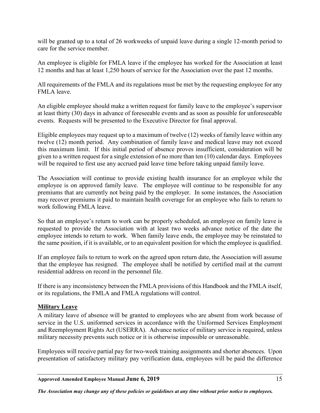will be granted up to a total of 26 workweeks of unpaid leave during a single 12-month period to care for the service member.

An employee is eligible for FMLA leave if the employee has worked for the Association at least 12 months and has at least 1,250 hours of service for the Association over the past 12 months.

All requirements of the FMLA and its regulations must be met by the requesting employee for any FMLA leave.

An eligible employee should make a written request for family leave to the employee's supervisor at least thirty (30) days in advance of foreseeable events and as soon as possible for unforeseeable events. Requests will be presented to the Executive Director for final approval.

Eligible employees may request up to a maximum of twelve (12) weeks of family leave within any twelve (12) month period. Any combination of family leave and medical leave may not exceed this maximum limit. If this initial period of absence proves insufficient, consideration will be given to a written request for a single extension of no more than ten (10) calendar days. Employees will be required to first use any accrued paid leave time before taking unpaid family leave.

The Association will continue to provide existing health insurance for an employee while the employee is on approved family leave. The employee will continue to be responsible for any premiums that are currently not being paid by the employer. In some instances, the Association may recover premiums it paid to maintain health coverage for an employee who fails to return to work following FMLA leave.

So that an employee's return to work can be properly scheduled, an employee on family leave is requested to provide the Association with at least two weeks advance notice of the date the employee intends to return to work. When family leave ends, the employee may be reinstated to the same position, if it is available, or to an equivalent position for which the employee is qualified.

If an employee fails to return to work on the agreed upon return date, the Association will assume that the employee has resigned. The employee shall be notified by certified mail at the current residential address on record in the personnel file.

If there is any inconsistency between the FMLA provisions of this Handbook and the FMLA itself, or its regulations, the FMLA and FMLA regulations will control.

#### <span id="page-20-0"></span>**Military Leave**

A military leave of absence will be granted to employees who are absent from work because of service in the U.S. uniformed services in accordance with the Uniformed Services Employment and Reemployment Rights Act (USERRA). Advance notice of military service is required, unless military necessity prevents such notice or it is otherwise impossible or unreasonable.

Employees will receive partial pay for two-week training assignments and shorter absences. Upon presentation of satisfactory military pay verification data, employees will be paid the difference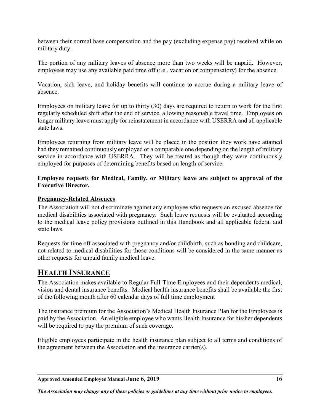between their normal base compensation and the pay (excluding expense pay) received while on military duty.

The portion of any military leaves of absence more than two weeks will be unpaid. However, employees may use any available paid time off (i.e., vacation or compensatory) for the absence.

Vacation, sick leave, and holiday benefits will continue to accrue during a military leave of absence.

Employees on military leave for up to thirty (30) days are required to return to work for the first regularly scheduled shift after the end of service, allowing reasonable travel time. Employees on longer military leave must apply for reinstatement in accordance with USERRA and all applicable state laws.

Employees returning from military leave will be placed in the position they work have attained had they remained continuously employed or a comparable one depending on the length of military service in accordance with USERRA. They will be treated as though they were continuously employed for purposes of determining benefits based on length of service.

#### **Employee requests for Medical, Family, or Military leave are subject to approval of the Executive Director.**

#### <span id="page-21-0"></span>**Pregnancy-Related Absences**

The Association will not discriminate against any employee who requests an excused absence for medical disabilities associated with pregnancy. Such leave requests will be evaluated according to the medical leave policy provisions outlined in this Handbook and all applicable federal and state laws.

Requests for time off associated with pregnancy and/or childbirth, such as bonding and childcare, not related to medical disabilities for those conditions will be considered in the same manner as other requests for unpaid family medical leave.

# <span id="page-21-1"></span>**HEALTH INSURANCE**

The Association makes available to Regular Full-Time Employees and their dependents medical, vision and dental insurance benefits. Medical health insurance benefits shall be available the first of the following month after 60 calendar days of full time employment

The insurance premium for the Association's Medical Health Insurance Plan for the Employees is paid by the Association. An eligible employee who wants Health Insurance for his/her dependents will be required to pay the premium of such coverage.

Eligible employees participate in the health insurance plan subject to all terms and conditions of the agreement between the Association and the insurance carrier(s).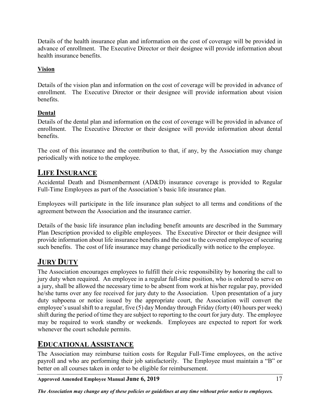Details of the health insurance plan and information on the cost of coverage will be provided in advance of enrollment. The Executive Director or their designee will provide information about health insurance benefits.

#### <span id="page-22-0"></span>**Vision**

Details of the vision plan and information on the cost of coverage will be provided in advance of enrollment. The Executive Director or their designee will provide information about vision benefits.

#### <span id="page-22-1"></span>**Dental**

Details of the dental plan and information on the cost of coverage will be provided in advance of enrollment. The Executive Director or their designee will provide information about dental benefits.

The cost of this insurance and the contribution to that, if any, by the Association may change periodically with notice to the employee.

# <span id="page-22-2"></span>**LIFE INSURANCE**

Accidental Death and Dismemberment (AD&D) insurance coverage is provided to Regular Full-Time Employees as part of the Association's basic life insurance plan.

Employees will participate in the life insurance plan subject to all terms and conditions of the agreement between the Association and the insurance carrier.

Details of the basic life insurance plan including benefit amounts are described in the Summary Plan Description provided to eligible employees. The Executive Director or their designee will provide information about life insurance benefits and the cost to the covered employee of securing such benefits. The cost of life insurance may change periodically with notice to the employee.

# <span id="page-22-3"></span>**JURY DUTY**

The Association encourages employees to fulfill their civic responsibility by honoring the call to jury duty when required. An employee in a regular full-time position, who is ordered to serve on a jury, shall be allowed the necessary time to be absent from work at his/her regular pay, provided he/she turns over any fee received for jury duty to the Association. Upon presentation of a jury duty subpoena or notice issued by the appropriate court, the Association will convert the employee's usual shift to a regular, five (5) day Monday through Friday (forty (40) hours per week) shift during the period of time they are subject to reporting to the court for jury duty. The employee may be required to work standby or weekends. Employees are expected to report for work whenever the court schedule permits.

# <span id="page-22-4"></span>**EDUCATIONAL ASSISTANCE**

The Association may reimburse tuition costs for Regular Full-Time employees, on the active payroll and who are performing their job satisfactorily. The Employee must maintain a "B" or better on all courses taken in order to be eligible for reimbursement.

**Approved Amended Employee Manual June 6, 2019** 17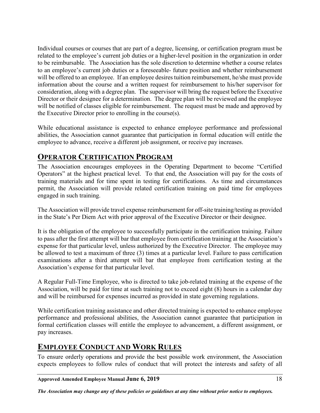Individual courses or courses that are part of a degree, licensing, or certification program must be related to the employee's current job duties or a higher-level position in the organization in order to be reimbursable. The Association has the sole discretion to determine whether a course relates to an employee's current job duties or a foreseeable- future position and whether reimbursement will be offered to an employee. If an employee desires tuition reimbursement, he/she must provide information about the course and a written request for reimbursement to his/her supervisor for consideration, along with a degree plan. The supervisor will bring the request before the Executive Director or their designee for a determination. The degree plan will be reviewed and the employee will be notified of classes eligible for reimbursement. The request must be made and approved by the Executive Director prior to enrolling in the course(s).

While educational assistance is expected to enhance employee performance and professional abilities, the Association cannot guarantee that participation in formal education will entitle the employee to advance, receive a different job assignment, or receive pay increases.

# <span id="page-23-0"></span>**OPERATOR CERTIFICATION PROGRAM**

The Association encourages employees in the Operating Department to become "Certified Operators" at the highest practical level. To that end, the Association will pay for the costs of training materials and for time spent in testing for certifications. As time and circumstances permit, the Association will provide related certification training on paid time for employees engaged in such training.

The Association will provide travel expense reimbursement for off-site training/testing as provided in the State's Per Diem Act with prior approval of the Executive Director or their designee.

It is the obligation of the employee to successfully participate in the certification training. Failure to pass after the first attempt will bar that employee from certification training at the Association's expense for that particular level, unless authorized by the Executive Director. The employee may be allowed to test a maximum of three (3) times at a particular level. Failure to pass certification examinations after a third attempt will bar that employee from certification testing at the Association's expense for that particular level.

A Regular Full-Time Employee, who is directed to take job-related training at the expense of the Association, will be paid for time at such training not to exceed eight (8) hours in a calendar day and will be reimbursed for expenses incurred as provided in state governing regulations.

While certification training assistance and other directed training is expected to enhance employee performance and professional abilities, the Association cannot guarantee that participation in formal certification classes will entitle the employee to advancement, a different assignment, or pay increases.

# <span id="page-23-1"></span>**EMPLOYEE CONDUCT AND WORK RULES**

To ensure orderly operations and provide the best possible work environment, the Association expects employees to follow rules of conduct that will protect the interests and safety of all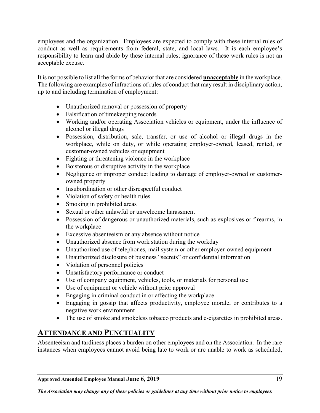employees and the organization. Employees are expected to comply with these internal rules of conduct as well as requirements from federal, state, and local laws. It is each employee's responsibility to learn and abide by these internal rules; ignorance of these work rules is not an acceptable excuse.

It is not possible to list all the forms of behavior that are considered **unacceptable** in the workplace. The following are examples of infractions of rules of conduct that may result in disciplinary action, up to and including termination of employment:

- Unauthorized removal or possession of property
- Falsification of timekeeping records
- Working and/or operating Association vehicles or equipment, under the influence of alcohol or illegal drugs
- Possession, distribution, sale, transfer, or use of alcohol or illegal drugs in the workplace, while on duty, or while operating employer-owned, leased, rented, or customer-owned vehicles or equipment
- Fighting or threatening violence in the workplace
- Boisterous or disruptive activity in the workplace
- Negligence or improper conduct leading to damage of employer-owned or customerowned property
- Insubordination or other disrespectful conduct
- Violation of safety or health rules
- Smoking in prohibited areas
- Sexual or other unlawful or unwelcome harassment
- Possession of dangerous or unauthorized materials, such as explosives or firearms, in the workplace
- Excessive absenteeism or any absence without notice
- Unauthorized absence from work station during the workday
- Unauthorized use of telephones, mail system or other employer-owned equipment
- Unauthorized disclosure of business "secrets" or confidential information
- Violation of personnel policies
- Unsatisfactory performance or conduct
- Use of company equipment, vehicles, tools, or materials for personal use
- Use of equipment or vehicle without prior approval
- Engaging in criminal conduct in or affecting the workplace
- Engaging in gossip that affects productivity, employee morale, or contributes to a negative work environment
- The use of smoke and smokeless tobacco products and e-cigarettes in prohibited areas.

# <span id="page-24-0"></span>**ATTENDANCE AND PUNCTUALITY**

Absenteeism and tardiness places a burden on other employees and on the Association. In the rare instances when employees cannot avoid being late to work or are unable to work as scheduled,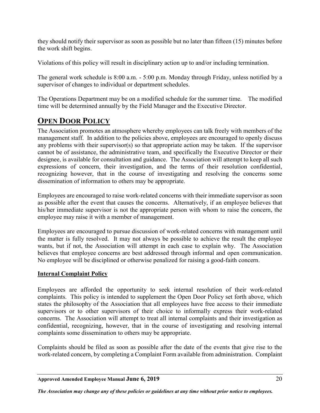they should notify their supervisor as soon as possible but no later than fifteen (15) minutes before the work shift begins.

Violations of this policy will result in disciplinary action up to and/or including termination.

The general work schedule is 8:00 a.m. - 5:00 p.m. Monday through Friday, unless notified by a supervisor of changes to individual or department schedules.

The Operations Department may be on a modified schedule for the summer time. The modified time will be determined annually by the Field Manager and the Executive Director.

# <span id="page-25-0"></span>**OPEN DOOR POLICY**

The Association promotes an atmosphere whereby employees can talk freely with members of the management staff. In addition to the policies above, employees are encouraged to openly discuss any problems with their supervisor(s) so that appropriate action may be taken. If the supervisor cannot be of assistance, the administrative team, and specifically the Executive Director or their designee, is available for consultation and guidance. The Association will attempt to keep all such expressions of concern, their investigation, and the terms of their resolution confidential, recognizing however, that in the course of investigating and resolving the concerns some dissemination of information to others may be appropriate.

Employees are encouraged to raise work-related concerns with their immediate supervisor as soon as possible after the event that causes the concerns. Alternatively, if an employee believes that his/her immediate supervisor is not the appropriate person with whom to raise the concern, the employee may raise it with a member of management.

Employees are encouraged to pursue discussion of work-related concerns with management until the matter is fully resolved. It may not always be possible to achieve the result the employee wants, but if not, the Association will attempt in each case to explain why. The Association believes that employee concerns are best addressed through informal and open communication. No employee will be disciplined or otherwise penalized for raising a good-faith concern.

#### <span id="page-25-1"></span>**Internal Complaint Policy**

Employees are afforded the opportunity to seek internal resolution of their work-related complaints. This policy is intended to supplement the Open Door Policy set forth above, which states the philosophy of the Association that all employees have free access to their immediate supervisors or to other supervisors of their choice to informally express their work-related concerns. The Association will attempt to treat all internal complaints and their investigation as confidential, recognizing, however, that in the course of investigating and resolving internal complaints some dissemination to others may be appropriate.

Complaints should be filed as soon as possible after the date of the events that give rise to the work-related concern, by completing a Complaint Form available from administration. Complaint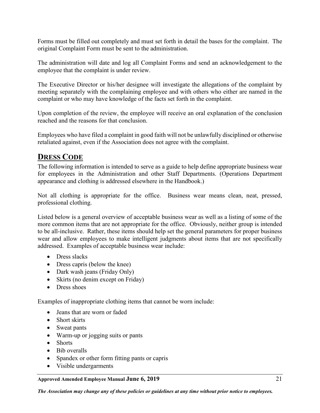Forms must be filled out completely and must set forth in detail the bases for the complaint. The original Complaint Form must be sent to the administration.

The administration will date and log all Complaint Forms and send an acknowledgement to the employee that the complaint is under review.

The Executive Director or his/her designee will investigate the allegations of the complaint by meeting separately with the complaining employee and with others who either are named in the complaint or who may have knowledge of the facts set forth in the complaint.

Upon completion of the review, the employee will receive an oral explanation of the conclusion reached and the reasons for that conclusion.

Employees who have filed a complaint in good faith will not be unlawfully disciplined or otherwise retaliated against, even if the Association does not agree with the complaint.

# <span id="page-26-0"></span>**DRESS CODE**

The following information is intended to serve as a guide to help define appropriate business wear for employees in the Administration and other Staff Departments. (Operations Department appearance and clothing is addressed elsewhere in the Handbook.)

Not all clothing is appropriate for the office. Business wear means clean, neat, pressed, professional clothing.

Listed below is a general overview of acceptable business wear as well as a listing of some of the more common items that are not appropriate for the office. Obviously, neither group is intended to be all-inclusive. Rather, these items should help set the general parameters for proper business wear and allow employees to make intelligent judgments about items that are not specifically addressed. Examples of acceptable business wear include:

- Dress slacks
- Dress capris (below the knee)
- Dark wash jeans (Friday Only)
- Skirts (no denim except on Friday)
- Dress shoes

Examples of inappropriate clothing items that cannot be worn include:

- Jeans that are worn or faded
- Short skirts
- Sweat pants
- Warm-up or jogging suits or pants
- Shorts
- Bib overalls
- Spandex or other form fitting pants or capris
- Visible undergarments

#### **Approved Amended Employee Manual June 6, 2019** 21

*The Association may change any of these policies or guidelines at any time without prior notice to employees.*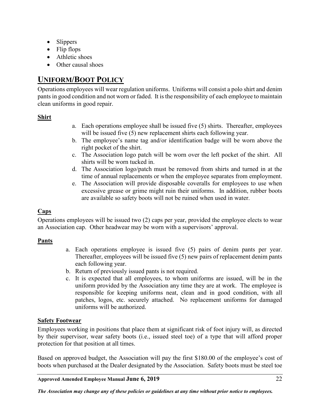- Slippers
- Flip flops
- Athletic shoes
- Other causal shoes

# <span id="page-27-0"></span>**UNIFORM/BOOT POLICY**

Operations employees will wear regulation uniforms. Uniforms will consist a polo shirt and denim pants in good condition and not worn or faded. It is the responsibility of each employee to maintain clean uniforms in good repair.

#### <span id="page-27-1"></span>**Shirt**

- a. Each operations employee shall be issued five (5) shirts. Thereafter, employees will be issued five (5) new replacement shirts each following year.
- b. The employee's name tag and/or identification badge will be worn above the right pocket of the shirt.
- c. The Association logo patch will be worn over the left pocket of the shirt. All shirts will be worn tucked in.
- d. The Association logo/patch must be removed from shirts and turned in at the time of annual replacements or when the employee separates from employment.
- e. The Association will provide disposable coveralls for employees to use when excessive grease or grime might ruin their uniforms. In addition, rubber boots are available so safety boots will not be ruined when used in water.

#### <span id="page-27-2"></span>**Caps**

Operations employees will be issued two (2) caps per year, provided the employee elects to wear an Association cap. Other headwear may be worn with a supervisors' approval.

#### <span id="page-27-3"></span>**Pants**

- a. Each operations employee is issued five (5) pairs of denim pants per year. Thereafter, employees will be issued five (5) new pairs of replacement denim pants each following year.
- b. Return of previously issued pants is not required.
- c. It is expected that all employees, to whom uniforms are issued, will be in the uniform provided by the Association any time they are at work. The employee is responsible for keeping uniforms neat, clean and in good condition, with all patches, logos, etc. securely attached. No replacement uniforms for damaged uniforms will be authorized.

#### <span id="page-27-4"></span>**Safety Footwear**

Employees working in positions that place them at significant risk of foot injury will, as directed by their supervisor, wear safety boots (i.e., issued steel toe) of a type that will afford proper protection for that position at all times.

Based on approved budget, the Association will pay the first \$180.00 of the employee's cost of boots when purchased at the Dealer designated by the Association. Safety boots must be steel toe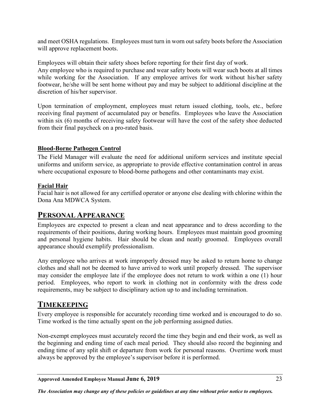and meet OSHA regulations. Employees must turn in worn out safety boots before the Association will approve replacement boots.

Employees will obtain their safety shoes before reporting for their first day of work. Any employee who is required to purchase and wear safety boots will wear such boots at all times while working for the Association. If any employee arrives for work without his/her safety footwear, he/she will be sent home without pay and may be subject to additional discipline at the discretion of his/her supervisor.

Upon termination of employment, employees must return issued clothing, tools, etc., before receiving final payment of accumulated pay or benefits. Employees who leave the Association within six (6) months of receiving safety footwear will have the cost of the safety shoe deducted from their final paycheck on a pro-rated basis.

#### <span id="page-28-0"></span>**Blood-Borne Pathogen Control**

The Field Manager will evaluate the need for additional uniform services and institute special uniforms and uniform service, as appropriate to provide effective contamination control in areas where occupational exposure to blood-borne pathogens and other contaminants may exist.

#### **Facial Hair**

Facial hair is not allowed for any certified operator or anyone else dealing with chlorine within the Dona Ana MDWCA System.

# <span id="page-28-1"></span>**PERSONAL APPEARANCE**

Employees are expected to present a clean and neat appearance and to dress according to the requirements of their positions, during working hours. Employees must maintain good grooming and personal hygiene habits. Hair should be clean and neatly groomed. Employees overall appearance should exemplify professionalism.

Any employee who arrives at work improperly dressed may be asked to return home to change clothes and shall not be deemed to have arrived to work until properly dressed. The supervisor may consider the employee late if the employee does not return to work within a one (1) hour period. Employees, who report to work in clothing not in conformity with the dress code requirements, may be subject to disciplinary action up to and including termination.

# <span id="page-28-2"></span>**TIMEKEEPING**

Every employee is responsible for accurately recording time worked and is encouraged to do so. Time worked is the time actually spent on the job performing assigned duties.

Non-exempt employees must accurately record the time they begin and end their work, as well as the beginning and ending time of each meal period. They should also record the beginning and ending time of any split shift or departure from work for personal reasons. Overtime work must always be approved by the employee's supervisor before it is performed.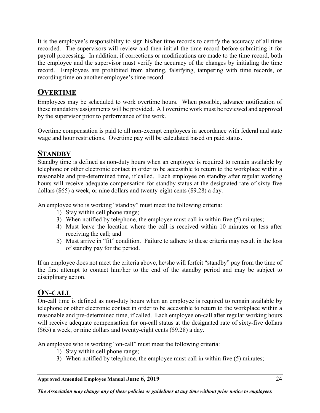It is the employee's responsibility to sign his/her time records to certify the accuracy of all time recorded. The supervisors will review and then initial the time record before submitting it for payroll processing. In addition, if corrections or modifications are made to the time record, both the employee and the supervisor must verify the accuracy of the changes by initialing the time record. Employees are prohibited from altering, falsifying, tampering with time records, or recording time on another employee's time record.

# <span id="page-29-0"></span>**OVERTIME**

Employees may be scheduled to work overtime hours. When possible, advance notification of these mandatory assignments will be provided. All overtime work must be reviewed and approved by the supervisor prior to performance of the work.

Overtime compensation is paid to all non-exempt employees in accordance with federal and state wage and hour restrictions. Overtime pay will be calculated based on paid status.

# <span id="page-29-1"></span>**STANDBY**

Standby time is defined as non-duty hours when an employee is required to remain available by telephone or other electronic contact in order to be accessible to return to the workplace within a reasonable and pre-determined time, if called. Each employee on standby after regular working hours will receive adequate compensation for standby status at the designated rate of sixty-five dollars (\$65) a week, or nine dollars and twenty-eight cents (\$9.28) a day.

An employee who is working "standby" must meet the following criteria:

- 1) Stay within cell phone range;
- 3) When notified by telephone, the employee must call in within five (5) minutes;
- 4) Must leave the location where the call is received within 10 minutes or less after receiving the call; and
- 5) Must arrive in "fit" condition. Failure to adhere to these criteria may result in the loss of standby pay for the period.

If an employee does not meet the criteria above, he/she will forfeit "standby" pay from the time of the first attempt to contact him/her to the end of the standby period and may be subject to disciplinary action.

# <span id="page-29-2"></span>**ON-CALL**

On-call time is defined as non-duty hours when an employee is required to remain available by telephone or other electronic contact in order to be accessible to return to the workplace within a reasonable and pre-determined time, if called. Each employee on-call after regular working hours will receive adequate compensation for on-call status at the designated rate of sixty-five dollars (\$65) a week, or nine dollars and twenty-eight cents (\$9.28) a day.

An employee who is working "on-call" must meet the following criteria:

- 1) Stay within cell phone range;
- 3) When notified by telephone, the employee must call in within five (5) minutes;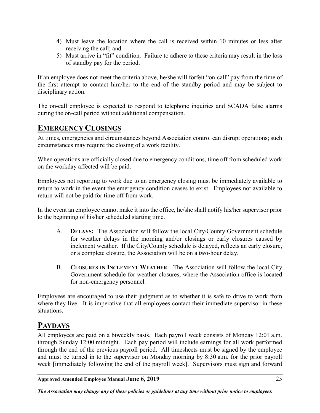- 4) Must leave the location where the call is received within 10 minutes or less after receiving the call; and
- 5) Must arrive in "fit" condition. Failure to adhere to these criteria may result in the loss of standby pay for the period.

If an employee does not meet the criteria above, he/she will forfeit "on-call" pay from the time of the first attempt to contact him/her to the end of the standby period and may be subject to disciplinary action.

The on-call employee is expected to respond to telephone inquiries and SCADA false alarms during the on-call period without additional compensation.

# <span id="page-30-0"></span>**EMERGENCY CLOSINGS**

At times, emergencies and circumstances beyond Association control can disrupt operations; such circumstances may require the closing of a work facility.

When operations are officially closed due to emergency conditions, time off from scheduled work on the workday affected will be paid.

Employees not reporting to work due to an emergency closing must be immediately available to return to work in the event the emergency condition ceases to exist. Employees not available to return will not be paid for time off from work.

In the event an employee cannot make it into the office, he/she shall notify his/her supervisor prior to the beginning of his/her scheduled starting time.

- A. **DELAYS:** The Association will follow the local City/County Government schedule for weather delays in the morning and/or closings or early closures caused by inclement weather. If the City/County schedule is delayed, reflects an early closure, or a complete closure, the Association will be on a two-hour delay.
- B. **CLOSURES IN INCLEMENT WEATHER**: The Association will follow the local City Government schedule for weather closures, where the Association office is located for non-emergency personnel.

Employees are encouraged to use their judgment as to whether it is safe to drive to work from where they live. It is imperative that all employees contact their immediate supervisor in these situations.

# <span id="page-30-1"></span>**PAYDAYS**

All employees are paid on a biweekly basis. Each payroll week consists of Monday 12:01 a.m. through Sunday 12:00 midnight. Each pay period will include earnings for all work performed through the end of the previous payroll period. All timesheets must be signed by the employee and must be turned in to the supervisor on Monday morning by 8:30 a.m. for the prior payroll week [immediately following the end of the payroll week]. Supervisors must sign and forward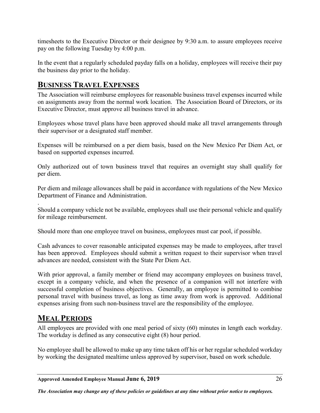timesheets to the Executive Director or their designee by 9:30 a.m. to assure employees receive pay on the following Tuesday by 4:00 p.m.

In the event that a regularly scheduled payday falls on a holiday, employees will receive their pay the business day prior to the holiday.

# <span id="page-31-0"></span>**BUSINESS TRAVEL EXPENSES**

The Association will reimburse employees for reasonable business travel expenses incurred while on assignments away from the normal work location. The Association Board of Directors, or its Executive Director, must approve all business travel in advance.

Employees whose travel plans have been approved should make all travel arrangements through their supervisor or a designated staff member.

Expenses will be reimbursed on a per diem basis, based on the New Mexico Per Diem Act, or based on supported expenses incurred.

Only authorized out of town business travel that requires an overnight stay shall qualify for per diem.

Per diem and mileage allowances shall be paid in accordance with regulations of the New Mexico Department of Finance and Administration.

. Should a company vehicle not be available, employees shall use their personal vehicle and qualify for mileage reimbursement.

Should more than one employee travel on business, employees must car pool, if possible.

Cash advances to cover reasonable anticipated expenses may be made to employees, after travel has been approved. Employees should submit a written request to their supervisor when travel advances are needed, consistent with the State Per Diem Act.

With prior approval, a family member or friend may accompany employees on business travel, except in a company vehicle, and when the presence of a companion will not interfere with successful completion of business objectives. Generally, an employee is permitted to combine personal travel with business travel, as long as time away from work is approved. Additional expenses arising from such non-business travel are the responsibility of the employee.

# <span id="page-31-1"></span>**MEAL PERIODS**

All employees are provided with one meal period of sixty (60) minutes in length each workday. The workday is defined as any consecutive eight (8) hour period.

No employee shall be allowed to make up any time taken off his or her regular scheduled workday by working the designated mealtime unless approved by supervisor, based on work schedule.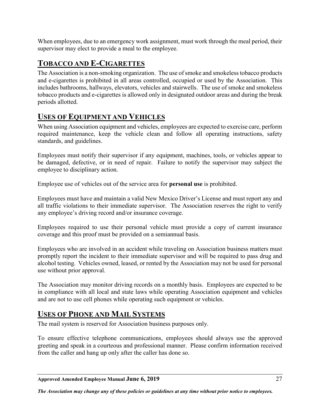When employees, due to an emergency work assignment, must work through the meal period, their supervisor may elect to provide a meal to the employee.

# <span id="page-32-0"></span>**TOBACCO AND E-CIGARETTES**

The Association is a non-smoking organization. The use of smoke and smokeless tobacco products and e-cigarettes is prohibited in all areas controlled, occupied or used by the Association. This includes bathrooms, hallways, elevators, vehicles and stairwells. The use of smoke and smokeless tobacco products and e-cigarettes is allowed only in designated outdoor areas and during the break periods allotted.

# <span id="page-32-1"></span>**USES OF EQUIPMENT AND VEHICLES**

When using Association equipment and vehicles, employees are expected to exercise care, perform required maintenance, keep the vehicle clean and follow all operating instructions, safety standards, and guidelines.

Employees must notify their supervisor if any equipment, machines, tools, or vehicles appear to be damaged, defective, or in need of repair. Failure to notify the supervisor may subject the employee to disciplinary action.

Employee use of vehicles out of the service area for **personal use** is prohibited.

Employees must have and maintain a valid New Mexico Driver's License and must report any and all traffic violations to their immediate supervisor. The Association reserves the right to verify any employee's driving record and/or insurance coverage.

Employees required to use their personal vehicle must provide a copy of current insurance coverage and this proof must be provided on a semiannual basis.

Employees who are involved in an accident while traveling on Association business matters must promptly report the incident to their immediate supervisor and will be required to pass drug and alcohol testing. Vehicles owned, leased, or rented by the Association may not be used for personal use without prior approval.

The Association may monitor driving records on a monthly basis. Employees are expected to be in compliance with all local and state laws while operating Association equipment and vehicles and are not to use cell phones while operating such equipment or vehicles.

# <span id="page-32-2"></span>**USES OF PHONE AND MAIL SYSTEMS**

The mail system is reserved for Association business purposes only.

To ensure effective telephone communications, employees should always use the approved greeting and speak in a courteous and professional manner. Please confirm information received from the caller and hang up only after the caller has done so.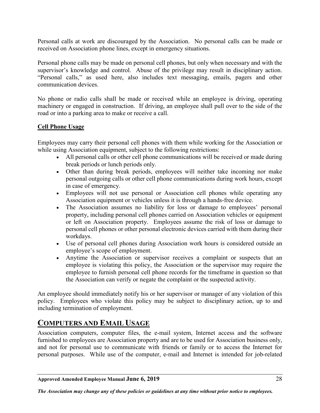Personal calls at work are discouraged by the Association. No personal calls can be made or received on Association phone lines, except in emergency situations.

Personal phone calls may be made on personal cell phones, but only when necessary and with the supervisor's knowledge and control. Abuse of the privilege may result in disciplinary action. "Personal calls," as used here, also includes text messaging, emails, pagers and other communication devices.

No phone or radio calls shall be made or received while an employee is driving, operating machinery or engaged in construction. If driving, an employee shall pull over to the side of the road or into a parking area to make or receive a call.

#### <span id="page-33-0"></span>**Cell Phone Usage**

Employees may carry their personal cell phones with them while working for the Association or while using Association equipment, subject to the following restrictions:

- All personal calls or other cell phone communications will be received or made during break periods or lunch periods only.
- Other than during break periods, employees will neither take incoming nor make personal outgoing calls or other cell phone communications during work hours, except in case of emergency.
- Employees will not use personal or Association cell phones while operating any Association equipment or vehicles unless it is through a hands-free device.
- The Association assumes no liability for loss or damage to employees' personal property, including personal cell phones carried on Association vehicles or equipment or left on Association property. Employees assume the risk of loss or damage to personal cell phones or other personal electronic devices carried with them during their workdays.
- Use of personal cell phones during Association work hours is considered outside an employee's scope of employment.
- Anytime the Association or supervisor receives a complaint or suspects that an employee is violating this policy, the Association or the supervisor may require the employee to furnish personal cell phone records for the timeframe in question so that the Association can verify or negate the complaint or the suspected activity.

An employee should immediately notify his or her supervisor or manager of any violation of this policy. Employees who violate this policy may be subject to disciplinary action, up to and including termination of employment.

# <span id="page-33-1"></span>**COMPUTERS AND EMAIL USAGE**

Association computers, computer files, the e-mail system, Internet access and the software furnished to employees are Association property and are to be used for Association business only, and not for personal use to communicate with friends or family or to access the Internet for personal purposes. While use of the computer, e-mail and Internet is intended for job-related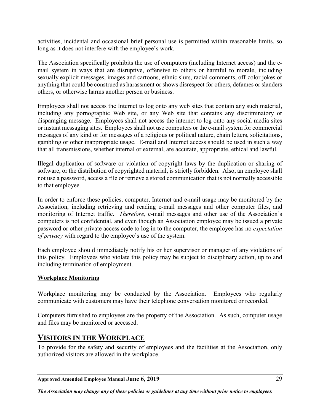activities, incidental and occasional brief personal use is permitted within reasonable limits, so long as it does not interfere with the employee's work.

The Association specifically prohibits the use of computers (including Internet access) and the email system in ways that are disruptive, offensive to others or harmful to morale, including sexually explicit messages, images and cartoons, ethnic slurs, racial comments, off-color jokes or anything that could be construed as harassment or shows disrespect for others, defames or slanders others, or otherwise harms another person or business.

Employees shall not access the Internet to log onto any web sites that contain any such material, including any pornographic Web site, or any Web site that contains any discriminatory or disparaging message. Employees shall not access the internet to log onto any social media sites or instant messaging sites. Employees shall not use computers or the e-mail system for commercial messages of any kind or for messages of a religious or political nature, chain letters, solicitations, gambling or other inappropriate usage. E-mail and Internet access should be used in such a way that all transmissions, whether internal or external, are accurate, appropriate, ethical and lawful.

Illegal duplication of software or violation of copyright laws by the duplication or sharing of software, or the distribution of copyrighted material, is strictly forbidden. Also, an employee shall not use a password, access a file or retrieve a stored communication that is not normally accessible to that employee.

In order to enforce these policies, computer, Internet and e-mail usage may be monitored by the Association, including retrieving and reading e-mail messages and other computer files, and monitoring of Internet traffic. *Therefore*, e-mail messages and other use of the Association's computers is not confidential, and even though an Association employee may be issued a private password or other private access code to log in to the computer, the employee has no *expectation of privacy* with regard to the employee's use of the system.

Each employee should immediately notify his or her supervisor or manager of any violations of this policy. Employees who violate this policy may be subject to disciplinary action, up to and including termination of employment.

#### <span id="page-34-0"></span>**Workplace Monitoring**

Workplace monitoring may be conducted by the Association. Employees who regularly communicate with customers may have their telephone conversation monitored or recorded.

Computers furnished to employees are the property of the Association. As such, computer usage and files may be monitored or accessed.

# <span id="page-34-1"></span>**VISITORS IN THE WORKPLACE**

To provide for the safety and security of employees and the facilities at the Association, only authorized visitors are allowed in the workplace.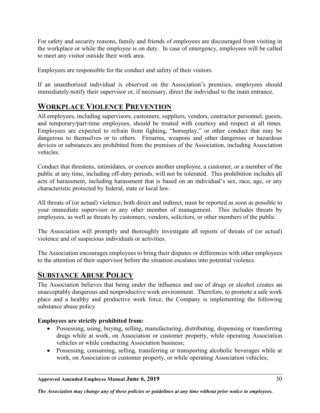For safety and security reasons, family and friends of employees are discouraged from visiting in the workplace or while the employee is on duty. In case of emergency, employees will be called to meet any visitor outside their work area.

Employees are responsible for the conduct and safety of their visitors.

If an unauthorized individual is observed on the Association's premises, employees should immediately notify their supervisor or, if necessary, direct the individual to the main entrance.

# <span id="page-35-0"></span>**WORKPLACE VIOLENCE PREVENTION**

All employees, including supervisors, customers, suppliers, vendors, contractor personnel, guests, and temporary/part-time employees, should be treated with courtesy and respect at all times. Employees are expected to refrain from fighting, "horseplay," or other conduct that may be dangerous to themselves or to others. Firearms, weapons and other dangerous or hazardous devices or substances are prohibited from the premises of the Association, including Association vehicles.

Conduct that threatens, intimidates, or coerces another employee, a customer, or a member of the public at any time, including off-duty periods, will not be tolerated. This prohibition includes all acts of harassment, including harassment that is based on an individual's sex, race, age, or any characteristic protected by federal, state or local law.

All threats of (or actual) violence, both direct and indirect, must be reported as soon as possible to your immediate supervisor or any other member of management. This includes threats by employees, as well as threats by customers, vendors, solicitors, or other members of the public.

The Association will promptly and thoroughly investigate all reports of threats of (or actual) violence and of suspicious individuals or activities.

The Association encourages employees to bring their disputes or differences with other employees to the attention of their supervisor before the situation escalates into potential violence.

# <span id="page-35-1"></span>**SUBSTANCE ABUSE POLICY**

The Association believes that being under the influence and use of drugs or alcohol creates an unacceptably dangerous and nonproductive work environment. Therefore, to promote a safe work place and a healthy and productive work force, the Company is implementing the following substance abuse policy.

#### **Employees are strictly prohibited from:**

- Possessing, using, buying, selling, manufacturing, distributing, dispensing or transferring drugs while at work, on Association or customer property, while operating Association vehicles or while conducting Association business;
- Possessing, consuming, selling, transferring or transporting alcoholic beverages while at work, on Association or customer property, or while operating Association vehicles;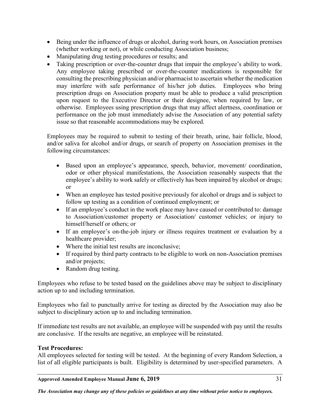- Being under the influence of drugs or alcohol, during work hours, on Association premises (whether working or not), or while conducting Association business;
- Manipulating drug testing procedures or results; and
- Taking prescription or over-the-counter drugs that impair the employee's ability to work. Any employee taking prescribed or over-the-counter medications is responsible for consulting the prescribing physician and/or pharmacist to ascertain whether the medication may interfere with safe performance of his/her job duties. Employees who bring prescription drugs on Association property must be able to produce a valid prescription upon request to the Executive Director or their designee, when required by law, or otherwise. Employees using prescription drugs that may affect alertness, coordination or performance on the job must immediately advise the Association of any potential safety issue so that reasonable accommodations may be explored.

Employees may be required to submit to testing of their breath, urine, hair follicle, blood, and/or saliva for alcohol and/or drugs, or search of property on Association premises in the following circumstances:

- Based upon an employee's appearance, speech, behavior, movement/ coordination, odor or other physical manifestations, the Association reasonably suspects that the employee's ability to work safely or effectively has been impaired by alcohol or drugs; or
- When an employee has tested positive previously for alcohol or drugs and is subject to follow up testing as a condition of continued employment; or
- If an employee's conduct in the work place may have caused or contributed to: damage to Association/customer property or Association/ customer vehicles; or injury to himself/herself or others; or
- If an employee's on-the-job injury or illness requires treatment or evaluation by a healthcare provider;
- Where the initial test results are inconclusive;
- If required by third party contracts to be eligible to work on non-Association premises and/or projects;
- Random drug testing.

Employees who refuse to be tested based on the guidelines above may be subject to disciplinary action up to and including termination.

Employees who fail to punctually arrive for testing as directed by the Association may also be subject to disciplinary action up to and including termination.

If immediate test results are not available, an employee will be suspended with pay until the results are conclusive. If the results are negative, an employee will be reinstated.

#### **Test Procedures:**

All employees selected for testing will be tested. At the beginning of every Random Selection, a list of all eligible participants is built. Eligibility is determined by user-specified parameters. A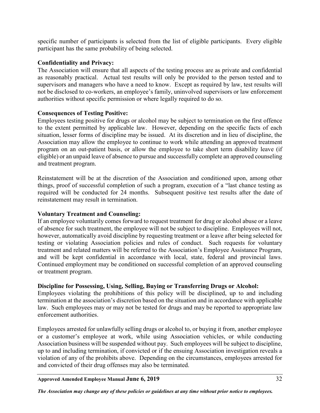specific number of participants is selected from the list of eligible participants. Every eligible participant has the same probability of being selected.

#### **Confidentiality and Privacy:**

The Association will ensure that all aspects of the testing process are as private and confidential as reasonably practical. Actual test results will only be provided to the person tested and to supervisors and managers who have a need to know. Except as required by law, test results will not be disclosed to co-workers, an employee's family, uninvolved supervisors or law enforcement authorities without specific permission or where legally required to do so.

#### **Consequences of Testing Positive:**

Employees testing positive for drugs or alcohol may be subject to termination on the first offence to the extent permitted by applicable law. However, depending on the specific facts of each situation, lesser forms of discipline may be issued. At its discretion and in lieu of discipline, the Association may allow the employee to continue to work while attending an approved treatment program on an out-patient basis, or allow the employee to take short term disability leave (if eligible) or an unpaid leave of absence to pursue and successfully complete an approved counseling and treatment program.

Reinstatement will be at the discretion of the Association and conditioned upon, among other things, proof of successful completion of such a program, execution of a "last chance testing as required will be conducted for 24 months. Subsequent positive test results after the date of reinstatement may result in termination.

#### **Voluntary Treatment and Counseling:**

If an employee voluntarily comes forward to request treatment for drug or alcohol abuse or a leave of absence for such treatment, the employee will not be subject to discipline. Employees will not, however, automatically avoid discipline by requesting treatment or a leave after being selected for testing or violating Association policies and rules of conduct. Such requests for voluntary treatment and related matters will be referred to the Association's Employee Assistance Program, and will be kept confidential in accordance with local, state, federal and provincial laws. Continued employment may be conditioned on successful completion of an approved counseling or treatment program.

#### **Discipline for Possessing, Using, Selling, Buying or Transferring Drugs or Alcohol:**

Employees violating the prohibitions of this policy will be disciplined, up to and including termination at the association's discretion based on the situation and in accordance with applicable law. Such employees may or may not be tested for drugs and may be reported to appropriate law enforcement authorities.

Employees arrested for unlawfully selling drugs or alcohol to, or buying it from, another employee or a customer's employee at work, while using Association vehicles, or while conducting Association business will be suspended without pay. Such employees will be subject to discipline, up to and including termination, if convicted or if the ensuing Association investigation reveals a violation of any of the prohibits above. Depending on the circumstances, employees arrested for and convicted of their drug offenses may also be terminated.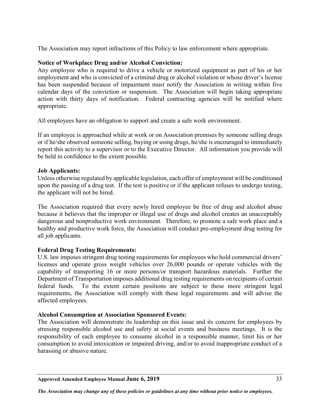The Association may report infractions of this Policy to law enforcement where appropriate.

#### **Notice of Workplace Drug and/or Alcohol Conviction:**

Any employee who is required to drive a vehicle or motorized equipment as part of his or her employment and who is convicted of a criminal drug or alcohol violation or whose driver's license has been suspended because of impairment must notify the Association in writing within five calendar days of the conviction or suspension. The Association will begin taking appropriate action with thirty days of notification. Federal contracting agencies will be notified where appropriate.

All employees have an obligation to support and create a safe work environment.

If an employee is approached while at work or on Association premises by someone selling drugs or if he/she observed someone selling, buying or using drugs, he/she is encouraged to immediately report this activity to a supervisor or to the Executive Director. All information you provide will be held in confidence to the extent possible.

#### **Job Applicants:**

Unless otherwise regulated by applicable legislation, each offer of employment will be conditioned upon the passing of a drug test. If the test is positive or if the applicant refuses to undergo testing, the applicant will not be hired.

The Association required that every newly hired employee be free of drug and alcohol abuse because it believes that the improper or illegal use of drugs and alcohol creates an unacceptably dangerous and nonproductive work environment. Therefore, to promote a safe work place and a healthy and productive work force, the Association will conduct pre-employment drug testing for all job applicants.

#### **Federal Drug Testing Requirements:**

U.S. law imposes stringent drug testing requirements for employees who hold commercial drivers' licenses and operate gross weight vehicles over 26,000 pounds or operate vehicles with the capability of transporting 16 or more persons/or transport hazardous materials. Further the Department of Transportation imposes additional drug testing requirements on recipients of certain federal funds. To the extent certain positions are subject to these more stringent legal requirements, the Association will comply with these legal requirements and will advise the affected employees.

#### **Alcohol Consumption at Association Sponsored Events:**

The Association will demonstrate its leadership on this issue and its concern for employees by stressing responsible alcohol use and safety at social events and business meetings. It is the responsibility of each employee to consume alcohol in a responsible manner, limit his or her consumption to avoid intoxication or impaired driving, and/or to avoid inappropriate conduct of a harassing or abusive nature.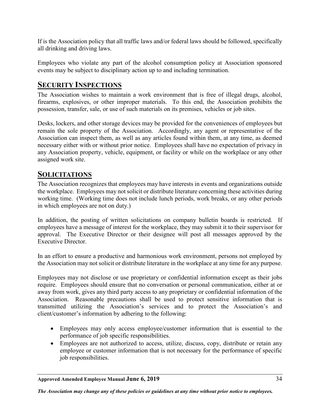If is the Association policy that all traffic laws and/or federal laws should be followed, specifically all drinking and driving laws.

Employees who violate any part of the alcohol consumption policy at Association sponsored events may be subject to disciplinary action up to and including termination.

# <span id="page-39-0"></span>**SECURITY INSPECTIONS**

The Association wishes to maintain a work environment that is free of illegal drugs, alcohol, firearms, explosives, or other improper materials. To this end, the Association prohibits the possession, transfer, sale, or use of such materials on its premises, vehicles or job sites.

Desks, lockers, and other storage devices may be provided for the conveniences of employees but remain the sole property of the Association. Accordingly, any agent or representative of the Association can inspect them, as well as any articles found within them, at any time, as deemed necessary either with or without prior notice. Employees shall have no expectation of privacy in any Association property, vehicle, equipment, or facility or while on the workplace or any other assigned work site.

# <span id="page-39-1"></span>**SOLICITATIONS**

The Association recognizes that employees may have interests in events and organizations outside the workplace. Employees may not solicit or distribute literature concerning these activities during working time. (Working time does not include lunch periods, work breaks, or any other periods in which employees are not on duty.)

In addition, the posting of written solicitations on company bulletin boards is restricted. If employees have a message of interest for the workplace, they may submit it to their supervisor for approval. The Executive Director or their designee will post all messages approved by the Executive Director.

In an effort to ensure a productive and harmonious work environment, persons not employed by the Association may not solicit or distribute literature in the workplace at any time for any purpose.

Employees may not disclose or use proprietary or confidential information except as their jobs require. Employees should ensure that no conversation or personal communication, either at or away from work, gives any third party access to any proprietary or confidential information of the Association. Reasonable precautions shall be used to protect sensitive information that is transmitted utilizing the Association's services and to protect the Association's and client/customer's information by adhering to the following:

- Employees may only access employee/customer information that is essential to the performance of job specific responsibilities.
- Employees are not authorized to access, utilize, discuss, copy, distribute or retain any employee or customer information that is not necessary for the performance of specific job responsibilities.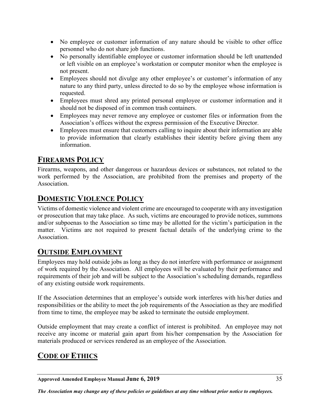- No employee or customer information of any nature should be visible to other office personnel who do not share job functions.
- No personally identifiable employee or customer information should be left unattended or left visible on an employee's workstation or computer monitor when the employee is not present.
- Employees should not divulge any other employee's or customer's information of any nature to any third party, unless directed to do so by the employee whose information is requested.
- Employees must shred any printed personal employee or customer information and it should not be disposed of in common trash containers.
- Employees may never remove any employee or customer files or information from the Association's offices without the express permission of the Executive Director.
- Employees must ensure that customers calling to inquire about their information are able to provide information that clearly establishes their identity before giving them any information.

# <span id="page-40-0"></span>**FIREARMS POLICY**

Firearms, weapons, and other dangerous or hazardous devices or substances, not related to the work performed by the Association, are prohibited from the premises and property of the Association.

# <span id="page-40-1"></span>**DOMESTIC VIOLENCE POLICY**

Victims of domestic violence and violent crime are encouraged to cooperate with any investigation or prosecution that may take place. As such, victims are encouraged to provide notices, summons and/or subpoenas to the Association so time may be allotted for the victim's participation in the matter. Victims are not required to present factual details of the underlying crime to the Association.

# <span id="page-40-2"></span>**OUTSIDE EMPLOYMENT**

Employees may hold outside jobs as long as they do not interfere with performance or assignment of work required by the Association. All employees will be evaluated by their performance and requirements of their job and will be subject to the Association's scheduling demands, regardless of any existing outside work requirements.

If the Association determines that an employee's outside work interferes with his/her duties and responsibilities or the ability to meet the job requirements of the Association as they are modified from time to time, the employee may be asked to terminate the outside employment.

Outside employment that may create a conflict of interest is prohibited. An employee may not receive any income or material gain apart from his/her compensation by the Association for materials produced or services rendered as an employee of the Association.

# <span id="page-40-3"></span>**CODE OF ETHICS**

**Approved Amended Employee Manual June 6, 2019** 35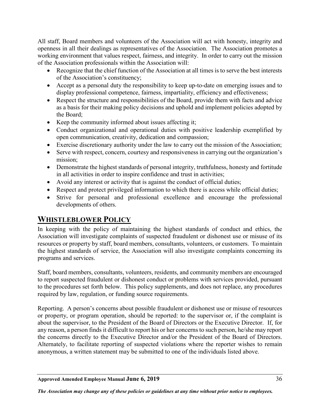All staff, Board members and volunteers of the Association will act with honesty, integrity and openness in all their dealings as representatives of the Association. The Association promotes a working environment that values respect, fairness, and integrity. In order to carry out the mission of the Association professionals within the Association will:

- Recognize that the chief function of the Association at all times is to serve the best interests of the Association's constituency;
- Accept as a personal duty the responsibility to keep up-to-date on emerging issues and to display professional competence, fairness, impartiality, efficiency and effectiveness;
- Respect the structure and responsibilities of the Board, provide them with facts and advice as a basis for their making policy decisions and uphold and implement policies adopted by the Board;
- Keep the community informed about issues affecting it;
- Conduct organizational and operational duties with positive leadership exemplified by open communication, creativity, dedication and compassion;
- Exercise discretionary authority under the law to carry out the mission of the Association;
- Serve with respect, concern, courtesy and responsiveness in carrying out the organization's mission;
- Demonstrate the highest standards of personal integrity, truthfulness, honesty and fortitude in all activities in order to inspire confidence and trust in activities;
- Avoid any interest or activity that is against the conduct of official duties;
- Respect and protect privileged information to which there is access while official duties;
- Strive for personal and professional excellence and encourage the professional developments of others.

# <span id="page-41-0"></span>**WHISTLEBLOWER POLICY**

In keeping with the policy of maintaining the highest standards of conduct and ethics, the Association will investigate complaints of suspected fraudulent or dishonest use or misuse of its resources or property by staff, board members, consultants, volunteers, or customers. To maintain the highest standards of service, the Association will also investigate complaints concerning its programs and services.

Staff, board members, consultants, volunteers, residents, and community members are encouraged to report suspected fraudulent or dishonest conduct or problems with services provided, pursuant to the procedures set forth below. This policy supplements, and does not replace, any procedures required by law, regulation, or funding source requirements.

Reporting. A person's concerns about possible fraudulent or dishonest use or misuse of resources or property, or program operation, should be reported: to the supervisor or, if the complaint is about the supervisor, to the President of the Board of Directors or the Executive Director. If, for any reason, a person finds it difficult to report his or her concerns to such person, he/she may report the concerns directly to the Executive Director and/or the President of the Board of Directors. Alternately, to facilitate reporting of suspected violations where the reporter wishes to remain anonymous, a written statement may be submitted to one of the individuals listed above.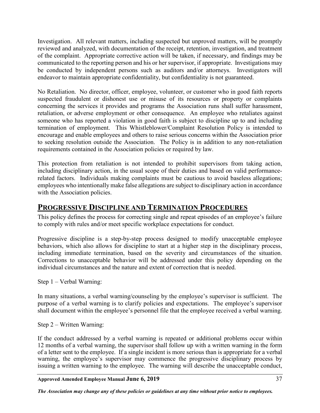Investigation. All relevant matters, including suspected but unproved matters, will be promptly reviewed and analyzed, with documentation of the receipt, retention, investigation, and treatment of the complaint. Appropriate corrective action will be taken, if necessary, and findings may be communicated to the reporting person and his or her supervisor, if appropriate. Investigations may be conducted by independent persons such as auditors and/or attorneys. Investigators will endeavor to maintain appropriate confidentiality, but confidentiality is not guaranteed.

No Retaliation. No director, officer, employee, volunteer, or customer who in good faith reports suspected fraudulent or dishonest use or misuse of its resources or property or complaints concerning the services it provides and programs the Association runs shall suffer harassment, retaliation, or adverse employment or other consequence. An employee who retaliates against someone who has reported a violation in good faith is subject to discipline up to and including termination of employment. This Whistleblower/Complaint Resolution Policy is intended to encourage and enable employees and others to raise serious concerns within the Association prior to seeking resolution outside the Association. The Policy is in addition to any non-retaliation requirements contained in the Association policies or required by law.

This protection from retaliation is not intended to prohibit supervisors from taking action, including disciplinary action, in the usual scope of their duties and based on valid performancerelated factors. Individuals making complaints must be cautious to avoid baseless allegations; employees who intentionally make false allegations are subject to disciplinary action in accordance with the Association policies.

# <span id="page-42-0"></span>**PROGRESSIVE DISCIPLINE AND TERMINATION PROCEDURES**

This policy defines the process for correcting single and repeat episodes of an employee's failure to comply with rules and/or meet specific workplace expectations for conduct.

Progressive discipline is a step-by-step process designed to modify unacceptable employee behaviors, which also allows for discipline to start at a higher step in the disciplinary process, including immediate termination, based on the severity and circumstances of the situation. Corrections to unacceptable behavior will be addressed under this policy depending on the individual circumstances and the nature and extent of correction that is needed.

Step 1 – Verbal Warning:

In many situations, a verbal warning/counseling by the employee's supervisor is sufficient. The purpose of a verbal warning is to clarify policies and expectations. The employee's supervisor shall document within the employee's personnel file that the employee received a verbal warning.

Step 2 – Written Warning:

If the conduct addressed by a verbal warning is repeated or additional problems occur within 12 months of a verbal warning, the supervisor shall follow up with a written warning in the form of a letter sent to the employee. If a single incident is more serious than is appropriate for a verbal warning, the employee's supervisor may commence the progressive disciplinary process by issuing a written warning to the employee. The warning will describe the unacceptable conduct,

**Approved Amended Employee Manual June 6, 2019** 37

*The Association may change any of these policies or guidelines at any time without prior notice to employees.*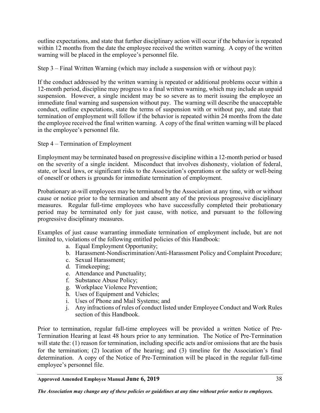outline expectations, and state that further disciplinary action will occur if the behavior is repeated within 12 months from the date the employee received the written warning. A copy of the written warning will be placed in the employee's personnel file.

Step 3 – Final Written Warning (which may include a suspension with or without pay):

If the conduct addressed by the written warning is repeated or additional problems occur within a 12-month period, discipline may progress to a final written warning, which may include an unpaid suspension. However, a single incident may be so severe as to merit issuing the employee an immediate final warning and suspension without pay. The warning will describe the unacceptable conduct, outline expectations, state the terms of suspension with or without pay, and state that termination of employment will follow if the behavior is repeated within 24 months from the date the employee received the final written warning. A copy of the final written warning will be placed in the employee's personnel file.

Step 4 – Termination of Employment

Employment may be terminated based on progressive discipline within a 12-month period or based on the severity of a single incident. Misconduct that involves dishonesty, violation of federal, state, or local laws, or significant risks to the Association's operations or the safety or well-being of oneself or others is grounds for immediate termination of employment.

Probationary at-will employees may be terminated by the Association at any time, with or without cause or notice prior to the termination and absent any of the previous progressive disciplinary measures. Regular full-time employees who have successfully completed their probationary period may be terminated only for just cause, with notice, and pursuant to the following progressive disciplinary measures.

Examples of just cause warranting immediate termination of employment include, but are not limited to, violations of the following entitled policies of this Handbook:

- a. Equal Employment Opportunity;
- b. Harassment-Nondiscrimination/Anti-Harassment Policy and Complaint Procedure;
- c. Sexual Harassment;
- d. Timekeeping;
- e. Attendance and Punctuality;
- f. Substance Abuse Policy;
- g. Workplace Violence Prevention;
- h. Uses of Equipment and Vehicles;
- i. Uses of Phone and Mail Systems; and
- j. Any infractions of rules of conduct listed under Employee Conduct and Work Rules section of this Handbook.

Prior to termination, regular full-time employees will be provided a written Notice of Pre-Termination Hearing at least 48 hours prior to any termination. The Notice of Pre-Termination will state the: (1) reason for termination, including specific acts and/or omissions that are the basis for the termination; (2) location of the hearing; and (3) timeline for the Association's final determination. A copy of the Notice of Pre-Termination will be placed in the regular full-time employee's personnel file.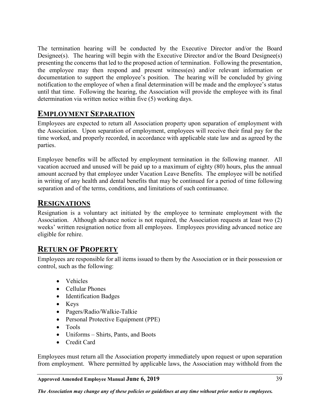The termination hearing will be conducted by the Executive Director and/or the Board Designee(s). The hearing will begin with the Executive Director and/or the Board Designee(s) presenting the concerns that led to the proposed action of termination. Following the presentation, the employee may then respond and present witness(es) and/or relevant information or documentation to support the employee's position. The hearing will be concluded by giving notification to the employee of when a final determination will be made and the employee's status until that time. Following the hearing, the Association will provide the employee with its final determination via written notice within five (5) working days.

# <span id="page-44-0"></span>**EMPLOYMENT SEPARATION**

Employees are expected to return all Association property upon separation of employment with the Association. Upon separation of employment, employees will receive their final pay for the time worked, and properly recorded, in accordance with applicable state law and as agreed by the parties.

Employee benefits will be affected by employment termination in the following manner. All vacation accrued and unused will be paid up to a maximum of eighty (80) hours, plus the annual amount accrued by that employee under Vacation Leave Benefits. The employee will be notified in writing of any health and dental benefits that may be continued for a period of time following separation and of the terms, conditions, and limitations of such continuance.

# <span id="page-44-1"></span>**RESIGNATIONS**

Resignation is a voluntary act initiated by the employee to terminate employment with the Association. Although advance notice is not required, the Association requests at least two (2) weeks' written resignation notice from all employees. Employees providing advanced notice are eligible for rehire.

# <span id="page-44-2"></span>**RETURN OF PROPERTY**

Employees are responsible for all items issued to them by the Association or in their possession or control, such as the following:

- Vehicles
- Cellular Phones
- Identification Badges
- Keys
- Pagers/Radio/Walkie-Talkie
- Personal Protective Equipment (PPE)
- Tools
- Uniforms Shirts, Pants, and Boots
- Credit Card

Employees must return all the Association property immediately upon request or upon separation from employment. Where permitted by applicable laws, the Association may withhold from the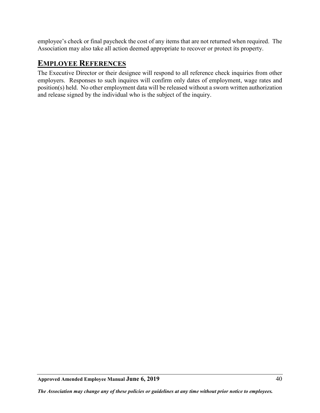employee's check or final paycheck the cost of any items that are not returned when required. The Association may also take all action deemed appropriate to recover or protect its property.

# <span id="page-45-0"></span>**EMPLOYEE REFERENCES**

The Executive Director or their designee will respond to all reference check inquiries from other employers. Responses to such inquires will confirm only dates of employment, wage rates and position(s) held. No other employment data will be released without a sworn written authorization and release signed by the individual who is the subject of the inquiry.